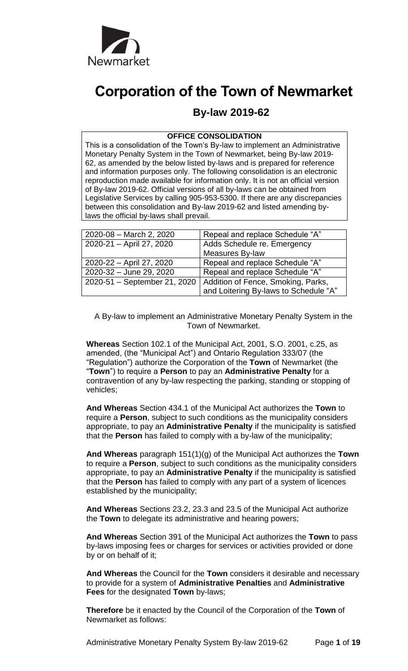

# **Corporation of the Town of Newmarket**

# **By-law 2019-62**

#### **OFFICE CONSOLIDATION**

This is a consolidation of the Town's By-law to implement an Administrative Monetary Penalty System in the Town of Newmarket, being By-law 2019- 62, as amended by the below listed by-laws and is prepared for reference and information purposes only. The following consolidation is an electronic reproduction made available for information only. It is not an official version of By-law 2019-62. Official versions of all by-laws can be obtained from Legislative Services by calling 905-953-5300. If there are any discrepancies between this consolidation and By-law 2019-62 and listed amending bylaws the official by-laws shall prevail.

| 2020-08 - March 2, 2020      | Repeal and replace Schedule "A"       |
|------------------------------|---------------------------------------|
| 2020-21 - April 27, 2020     | Adds Schedule re. Emergency           |
|                              | Measures By-law                       |
| 2020-22 - April 27, 2020     | Repeal and replace Schedule "A"       |
| 2020-32 - June 29, 2020      | Repeal and replace Schedule "A"       |
| 2020-51 - September 21, 2020 | Addition of Fence, Smoking, Parks,    |
|                              | and Loitering By-laws to Schedule "A" |

A By-law to implement an Administrative Monetary Penalty System in the Town of Newmarket.

**Whereas** Section 102.1 of the Municipal Act, 2001, S.O. 2001, c.25, as amended, (the "Municipal Act") and Ontario Regulation 333/07 (the "Regulation") authorize the Corporation of the **Town** of Newmarket (the "**Town**") to require a **Person** to pay an **Administrative Penalty** for a contravention of any by-law respecting the parking, standing or stopping of vehicles;

**And Whereas** Section 434.1 of the Municipal Act authorizes the **Town** to require a **Person**, subject to such conditions as the municipality considers appropriate, to pay an **Administrative Penalty** if the municipality is satisfied that the **Person** has failed to comply with a by-law of the municipality;

**And Whereas** paragraph 151(1)(g) of the Municipal Act authorizes the **Town** to require a **Person**, subject to such conditions as the municipality considers appropriate, to pay an **Administrative Penalty** if the municipality is satisfied that the **Person** has failed to comply with any part of a system of licences established by the municipality;

**And Whereas** Sections 23.2, 23.3 and 23.5 of the Municipal Act authorize the **Town** to delegate its administrative and hearing powers;

**And Whereas** Section 391 of the Municipal Act authorizes the **Town** to pass by-laws imposing fees or charges for services or activities provided or done by or on behalf of it;

**And Whereas** the Council for the **Town** considers it desirable and necessary to provide for a system of **Administrative Penalties** and **Administrative Fees** for the designated **Town** by-laws;

**Therefore** be it enacted by the Council of the Corporation of the **Town** of Newmarket as follows:

Administrative Monetary Penalty System By-law 2019-62 Page **1** of **19**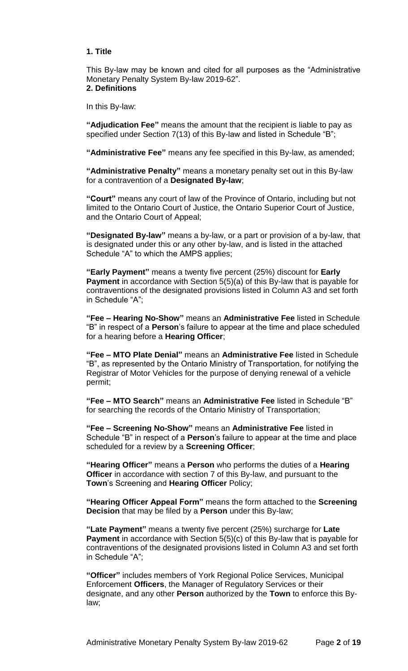#### **1. Title**

This By-law may be known and cited for all purposes as the "Administrative Monetary Penalty System By-law 2019-62".

# **2. Definitions**

In this By-law:

**"Adjudication Fee"** means the amount that the recipient is liable to pay as specified under Section 7(13) of this By-law and listed in Schedule "B";

**"Administrative Fee"** means any fee specified in this By-law, as amended;

**"Administrative Penalty"** means a monetary penalty set out in this By-law for a contravention of a **Designated By-law**;

**"Court"** means any court of law of the Province of Ontario, including but not limited to the Ontario Court of Justice, the Ontario Superior Court of Justice, and the Ontario Court of Appeal;

**"Designated By-law"** means a by-law, or a part or provision of a by-law, that is designated under this or any other by-law, and is listed in the attached Schedule "A" to which the AMPS applies;

**"Early Payment"** means a twenty five percent (25%) discount for **Early Payment** in accordance with Section 5(5)(a) of this By-law that is payable for contraventions of the designated provisions listed in Column A3 and set forth in Schedule "A";

**"Fee – Hearing No-Show"** means an **Administrative Fee** listed in Schedule "B" in respect of a **Person**'s failure to appear at the time and place scheduled for a hearing before a **Hearing Officer**;

**"Fee – MTO Plate Denial"** means an **Administrative Fee** listed in Schedule "B", as represented by the Ontario Ministry of Transportation, for notifying the Registrar of Motor Vehicles for the purpose of denying renewal of a vehicle permit;

**"Fee – MTO Search"** means an **Administrative Fee** listed in Schedule "B" for searching the records of the Ontario Ministry of Transportation;

**"Fee – Screening No-Show"** means an **Administrative Fee** listed in Schedule "B" in respect of a **Person**'s failure to appear at the time and place scheduled for a review by a **Screening Officer**;

**"Hearing Officer"** means a **Person** who performs the duties of a **Hearing Officer** in accordance with section 7 of this By-law, and pursuant to the **Town**'s Screening and **Hearing Officer** Policy;

**"Hearing Officer Appeal Form"** means the form attached to the **Screening Decision** that may be filed by a **Person** under this By-law;

**"Late Payment"** means a twenty five percent (25%) surcharge for **Late Payment** in accordance with Section 5(5)(c) of this By-law that is payable for contraventions of the designated provisions listed in Column A3 and set forth in Schedule "A";

**"Officer"** includes members of York Regional Police Services, Municipal Enforcement **Officers**, the Manager of Regulatory Services or their designate, and any other **Person** authorized by the **Town** to enforce this Bylaw;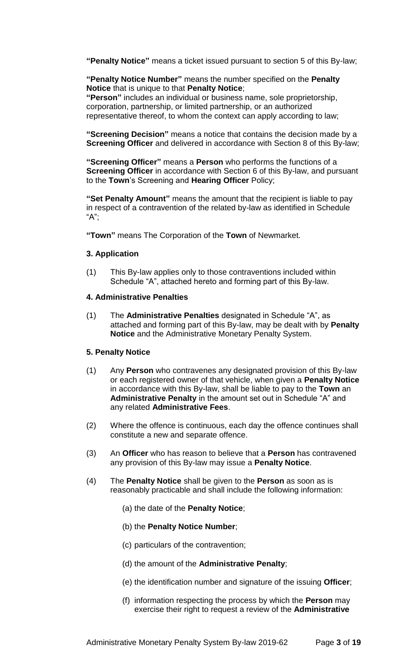**"Penalty Notice"** means a ticket issued pursuant to section 5 of this By-law;

**"Penalty Notice Number"** means the number specified on the **Penalty Notice** that is unique to that **Penalty Notice**;

**"Person"** includes an individual or business name, sole proprietorship, corporation, partnership, or limited partnership, or an authorized representative thereof, to whom the context can apply according to law;

**"Screening Decision"** means a notice that contains the decision made by a **Screening Officer** and delivered in accordance with Section 8 of this By-law;

**"Screening Officer"** means a **Person** who performs the functions of a **Screening Officer** in accordance with Section 6 of this By-law, and pursuant to the **Town**'s Screening and **Hearing Officer** Policy;

**"Set Penalty Amount"** means the amount that the recipient is liable to pay in respect of a contravention of the related by-law as identified in Schedule "A";

**"Town"** means The Corporation of the **Town** of Newmarket.

# **3. Application**

(1) This By-law applies only to those contraventions included within Schedule "A", attached hereto and forming part of this By-law.

# **4. Administrative Penalties**

(1) The **Administrative Penalties** designated in Schedule "A", as attached and forming part of this By-law, may be dealt with by **Penalty Notice** and the Administrative Monetary Penalty System.

# **5. Penalty Notice**

- (1) Any **Person** who contravenes any designated provision of this By-law or each registered owner of that vehicle, when given a **Penalty Notice** in accordance with this By-law, shall be liable to pay to the **Town** an **Administrative Penalty** in the amount set out in Schedule "A" and any related **Administrative Fees**.
- (2) Where the offence is continuous, each day the offence continues shall constitute a new and separate offence.
- (3) An **Officer** who has reason to believe that a **Person** has contravened any provision of this By-law may issue a **Penalty Notice**.
- (4) The **Penalty Notice** shall be given to the **Person** as soon as is reasonably practicable and shall include the following information:
	- (a) the date of the **Penalty Notice**;
	- (b) the **Penalty Notice Number**;
	- (c) particulars of the contravention;
	- (d) the amount of the **Administrative Penalty**;
	- (e) the identification number and signature of the issuing **Officer**;
	- (f) information respecting the process by which the **Person** may exercise their right to request a review of the **Administrative**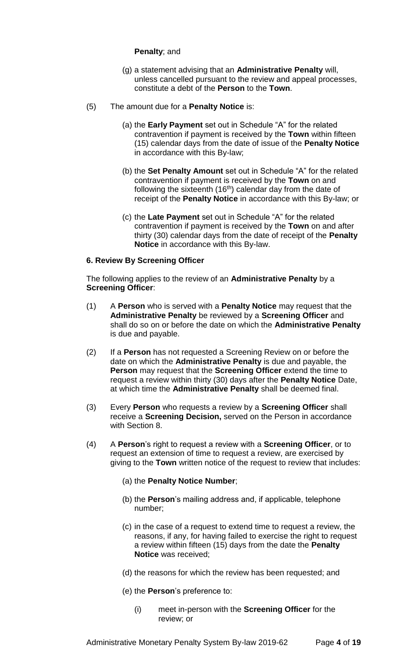# **Penalty**; and

- (g) a statement advising that an **Administrative Penalty** will, unless cancelled pursuant to the review and appeal processes, constitute a debt of the **Person** to the **Town**.
- (5) The amount due for a **Penalty Notice** is:
	- (a) the **Early Payment** set out in Schedule "A" for the related contravention if payment is received by the **Town** within fifteen (15) calendar days from the date of issue of the **Penalty Notice** in accordance with this By-law;
	- (b) the **Set Penalty Amount** set out in Schedule "A" for the related contravention if payment is received by the **Town** on and following the sixteenth  $(16<sup>th</sup>)$  calendar day from the date of receipt of the **Penalty Notice** in accordance with this By-law; or
	- (c) the **Late Payment** set out in Schedule "A" for the related contravention if payment is received by the **Town** on and after thirty (30) calendar days from the date of receipt of the **Penalty Notice** in accordance with this By-law.

# **6. Review By Screening Officer**

The following applies to the review of an **Administrative Penalty** by a **Screening Officer**:

- (1) A **Person** who is served with a **Penalty Notice** may request that the **Administrative Penalty** be reviewed by a **Screening Officer** and shall do so on or before the date on which the **Administrative Penalty** is due and payable.
- (2) If a **Person** has not requested a Screening Review on or before the date on which the **Administrative Penalty** is due and payable, the **Person** may request that the **Screening Officer** extend the time to request a review within thirty (30) days after the **Penalty Notice** Date, at which time the **Administrative Penalty** shall be deemed final.
- (3) Every **Person** who requests a review by a **Screening Officer** shall receive a **Screening Decision,** served on the Person in accordance with Section 8.
- (4) A **Person**'s right to request a review with a **Screening Officer**, or to request an extension of time to request a review, are exercised by giving to the **Town** written notice of the request to review that includes:
	- (a) the **Penalty Notice Number**;
	- (b) the **Person**'s mailing address and, if applicable, telephone number;
	- (c) in the case of a request to extend time to request a review, the reasons, if any, for having failed to exercise the right to request a review within fifteen (15) days from the date the **Penalty Notice** was received;
	- (d) the reasons for which the review has been requested; and
	- (e) the **Person**'s preference to:
		- (i) meet in-person with the **Screening Officer** for the review; or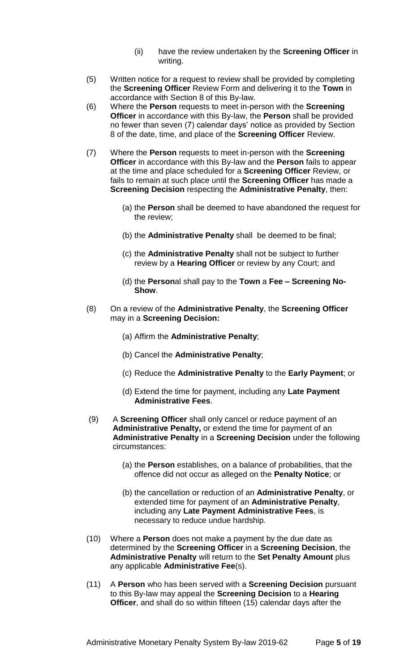- (ii) have the review undertaken by the **Screening Officer** in writing.
- (5) Written notice for a request to review shall be provided by completing the **Screening Officer** Review Form and delivering it to the **Town** in accordance with Section 8 of this By-law.
- (6) Where the **Person** requests to meet in-person with the **Screening Officer** in accordance with this By-law, the **Person** shall be provided no fewer than seven (7) calendar days' notice as provided by Section 8 of the date, time, and place of the **Screening Officer** Review.
- (7) Where the **Person** requests to meet in-person with the **Screening Officer** in accordance with this By-law and the **Person** fails to appear at the time and place scheduled for a **Screening Officer** Review, or fails to remain at such place until the **Screening Officer** has made a **Screening Decision** respecting the **Administrative Penalty**, then:
	- (a) the **Person** shall be deemed to have abandoned the request for the review;
	- (b) the **Administrative Penalty** shall be deemed to be final;
	- (c) the **Administrative Penalty** shall not be subject to further review by a **Hearing Officer** or review by any Court; and
	- (d) the **Person**al shall pay to the **Town** a **Fee – Screening No-Show**.
- (8) On a review of the **Administrative Penalty**, the **Screening Officer** may in a **Screening Decision:**
	- (a) Affirm the **Administrative Penalty**;
	- (b) Cancel the **Administrative Penalty**;
	- (c) Reduce the **Administrative Penalty** to the **Early Payment**; or
	- (d) Extend the time for payment, including any **Late Payment Administrative Fees**.
- (9) A **Screening Officer** shall only cancel or reduce payment of an **Administrative Penalty,** or extend the time for payment of an **Administrative Penalty** in a **Screening Decision** under the following circumstances:
	- (a) the **Person** establishes, on a balance of probabilities, that the offence did not occur as alleged on the **Penalty Notice**; or
	- (b) the cancellation or reduction of an **Administrative Penalty**, or extended time for payment of an **Administrative Penalty**, including any **Late Payment Administrative Fees**, is necessary to reduce undue hardship.
- (10) Where a **Person** does not make a payment by the due date as determined by the **Screening Officer** in a **Screening Decision**, the **Administrative Penalty** will return to the **Set Penalty Amount** plus any applicable **Administrative Fee**(s).
- (11) A **Person** who has been served with a **Screening Decision** pursuant to this By-law may appeal the **Screening Decision** to a **Hearing Officer**, and shall do so within fifteen (15) calendar days after the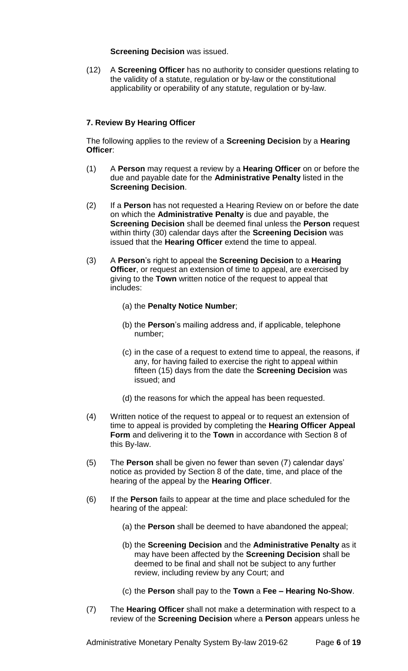**Screening Decision** was issued.

(12) A **Screening Officer** has no authority to consider questions relating to the validity of a statute, regulation or by-law or the constitutional applicability or operability of any statute, regulation or by-law.

# **7. Review By Hearing Officer**

The following applies to the review of a **Screening Decision** by a **Hearing Officer**:

- (1) A **Person** may request a review by a **Hearing Officer** on or before the due and payable date for the **Administrative Penalty** listed in the **Screening Decision**.
- (2) If a **Person** has not requested a Hearing Review on or before the date on which the **Administrative Penalty** is due and payable, the **Screening Decision** shall be deemed final unless the **Person** request within thirty (30) calendar days after the **Screening Decision** was issued that the **Hearing Officer** extend the time to appeal.
- (3) A **Person**'s right to appeal the **Screening Decision** to a **Hearing Officer**, or request an extension of time to appeal, are exercised by giving to the **Town** written notice of the request to appeal that includes:
	- (a) the **Penalty Notice Number**;
	- (b) the **Person**'s mailing address and, if applicable, telephone number;
	- (c) in the case of a request to extend time to appeal, the reasons, if any, for having failed to exercise the right to appeal within fifteen (15) days from the date the **Screening Decision** was issued; and
	- (d) the reasons for which the appeal has been requested.
- (4) Written notice of the request to appeal or to request an extension of time to appeal is provided by completing the **Hearing Officer Appeal Form** and delivering it to the **Town** in accordance with Section 8 of this By-law.
- (5) The **Person** shall be given no fewer than seven (7) calendar days' notice as provided by Section 8 of the date, time, and place of the hearing of the appeal by the **Hearing Officer**.
- (6) If the **Person** fails to appear at the time and place scheduled for the hearing of the appeal:
	- (a) the **Person** shall be deemed to have abandoned the appeal;
	- (b) the **Screening Decision** and the **Administrative Penalty** as it may have been affected by the **Screening Decision** shall be deemed to be final and shall not be subject to any further review, including review by any Court; and
	- (c) the **Person** shall pay to the **Town** a **Fee – Hearing No-Show**.
- (7) The **Hearing Officer** shall not make a determination with respect to a review of the **Screening Decision** where a **Person** appears unless he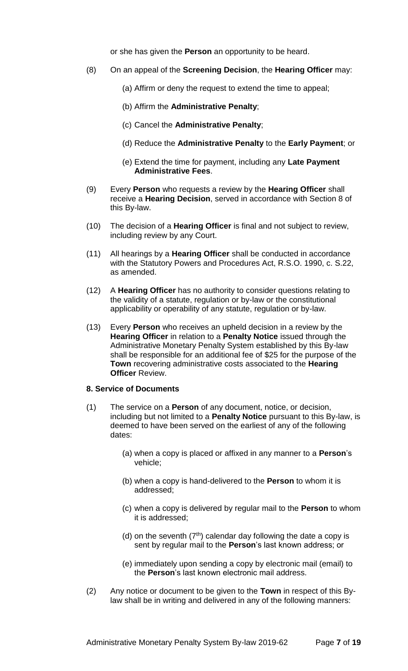or she has given the **Person** an opportunity to be heard.

- (8) On an appeal of the **Screening Decision**, the **Hearing Officer** may:
	- (a) Affirm or deny the request to extend the time to appeal;
	- (b) Affirm the **Administrative Penalty**;
	- (c) Cancel the **Administrative Penalty**;
	- (d) Reduce the **Administrative Penalty** to the **Early Payment**; or
	- (e) Extend the time for payment, including any **Late Payment Administrative Fees**.
- (9) Every **Person** who requests a review by the **Hearing Officer** shall receive a **Hearing Decision**, served in accordance with Section 8 of this By-law.
- (10) The decision of a **Hearing Officer** is final and not subject to review, including review by any Court.
- (11) All hearings by a **Hearing Officer** shall be conducted in accordance with the Statutory Powers and Procedures Act, R.S.O. 1990, c. S.22, as amended.
- (12) A **Hearing Officer** has no authority to consider questions relating to the validity of a statute, regulation or by-law or the constitutional applicability or operability of any statute, regulation or by-law.
- (13) Every **Person** who receives an upheld decision in a review by the **Hearing Officer** in relation to a **Penalty Notice** issued through the Administrative Monetary Penalty System established by this By-law shall be responsible for an additional fee of \$25 for the purpose of the **Town** recovering administrative costs associated to the **Hearing Officer** Review.

#### **8. Service of Documents**

- (1) The service on a **Person** of any document, notice, or decision, including but not limited to a **Penalty Notice** pursuant to this By-law, is deemed to have been served on the earliest of any of the following dates:
	- (a) when a copy is placed or affixed in any manner to a **Person**'s vehicle;
	- (b) when a copy is hand-delivered to the **Person** to whom it is addressed;
	- (c) when a copy is delivered by regular mail to the **Person** to whom it is addressed;
	- (d) on the seventh  $(7<sup>th</sup>)$  calendar day following the date a copy is sent by regular mail to the **Person**'s last known address; or
	- (e) immediately upon sending a copy by electronic mail (email) to the **Person**'s last known electronic mail address.
- (2) Any notice or document to be given to the **Town** in respect of this Bylaw shall be in writing and delivered in any of the following manners: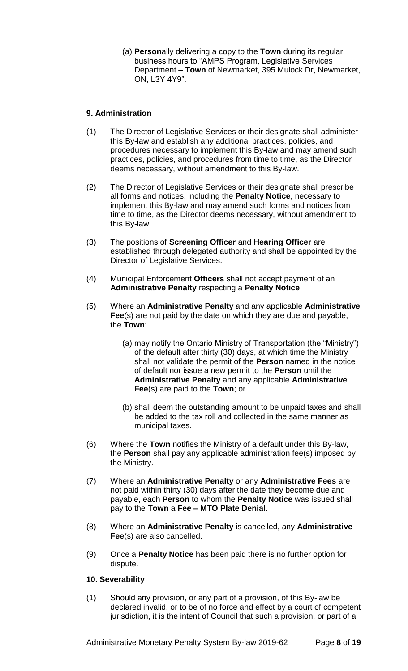(a) **Person**ally delivering a copy to the **Town** during its regular business hours to "AMPS Program, Legislative Services Department – **Town** of Newmarket, 395 Mulock Dr, Newmarket, ON, L3Y 4Y9".

# **9. Administration**

- (1) The Director of Legislative Services or their designate shall administer this By-law and establish any additional practices, policies, and procedures necessary to implement this By-law and may amend such practices, policies, and procedures from time to time, as the Director deems necessary, without amendment to this By-law.
- (2) The Director of Legislative Services or their designate shall prescribe all forms and notices, including the **Penalty Notice**, necessary to implement this By-law and may amend such forms and notices from time to time, as the Director deems necessary, without amendment to this By-law.
- (3) The positions of **Screening Officer** and **Hearing Officer** are established through delegated authority and shall be appointed by the Director of Legislative Services.
- (4) Municipal Enforcement **Officers** shall not accept payment of an **Administrative Penalty** respecting a **Penalty Notice**.
- (5) Where an **Administrative Penalty** and any applicable **Administrative Fee**(s) are not paid by the date on which they are due and payable, the **Town**:
	- (a) may notify the Ontario Ministry of Transportation (the "Ministry") of the default after thirty (30) days, at which time the Ministry shall not validate the permit of the **Person** named in the notice of default nor issue a new permit to the **Person** until the **Administrative Penalty** and any applicable **Administrative Fee**(s) are paid to the **Town**; or
	- (b) shall deem the outstanding amount to be unpaid taxes and shall be added to the tax roll and collected in the same manner as municipal taxes.
- (6) Where the **Town** notifies the Ministry of a default under this By-law, the **Person** shall pay any applicable administration fee(s) imposed by the Ministry.
- (7) Where an **Administrative Penalty** or any **Administrative Fees** are not paid within thirty (30) days after the date they become due and payable, each **Person** to whom the **Penalty Notice** was issued shall pay to the **Town** a **Fee – MTO Plate Denial**.
- (8) Where an **Administrative Penalty** is cancelled, any **Administrative Fee**(s) are also cancelled.
- (9) Once a **Penalty Notice** has been paid there is no further option for dispute.

# **10. Severability**

(1) Should any provision, or any part of a provision, of this By-law be declared invalid, or to be of no force and effect by a court of competent jurisdiction, it is the intent of Council that such a provision, or part of a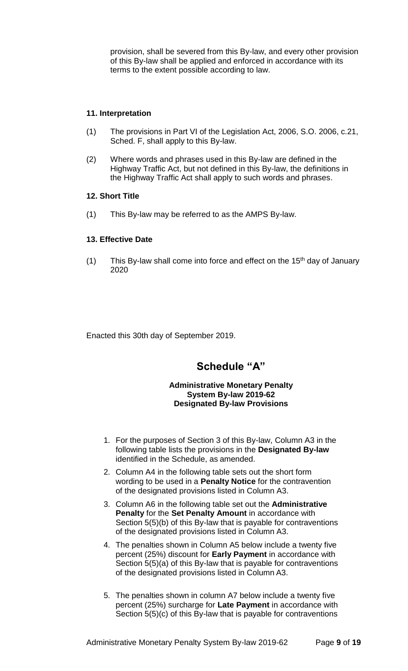provision, shall be severed from this By-law, and every other provision of this By-law shall be applied and enforced in accordance with its terms to the extent possible according to law.

# **11. Interpretation**

- (1) The provisions in Part VI of the Legislation Act, 2006, S.O. 2006, c.21, Sched. F, shall apply to this By-law.
- (2) Where words and phrases used in this By-law are defined in the Highway Traffic Act, but not defined in this By-law, the definitions in the Highway Traffic Act shall apply to such words and phrases.

#### **12. Short Title**

(1) This By-law may be referred to as the AMPS By-law.

# **13. Effective Date**

(1) This By-law shall come into force and effect on the  $15<sup>th</sup>$  day of January 2020

Enacted this 30th day of September 2019.

# **Schedule "A"**

#### **Administrative Monetary Penalty System By-law 2019-62 Designated By-law Provisions**

- 1. For the purposes of Section 3 of this By-law, Column A3 in the following table lists the provisions in the **Designated By-law**  identified in the Schedule, as amended.
- 2. Column A4 in the following table sets out the short form wording to be used in a **Penalty Notice** for the contravention of the designated provisions listed in Column A3.
- 3. Column A6 in the following table set out the **Administrative Penalty** for the **Set Penalty Amount** in accordance with Section 5(5)(b) of this By-law that is payable for contraventions of the designated provisions listed in Column A3.
- 4. The penalties shown in Column A5 below include a twenty five percent (25%) discount for **Early Payment** in accordance with Section 5(5)(a) of this By-law that is payable for contraventions of the designated provisions listed in Column A3.
- 5. The penalties shown in column A7 below include a twenty five percent (25%) surcharge for **Late Payment** in accordance with Section 5(5)(c) of this By-law that is payable for contraventions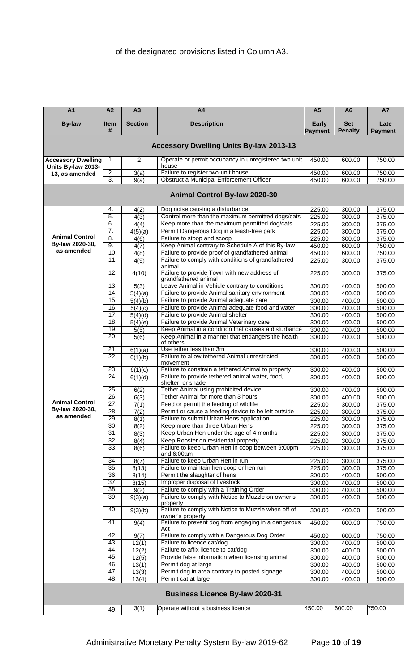| $\overline{A1}$                                 | A <sub>2</sub>           | A3                 | A4                                                                                            | A <sub>5</sub>          | A <sub>6</sub>               | <b>A7</b>              |
|-------------------------------------------------|--------------------------|--------------------|-----------------------------------------------------------------------------------------------|-------------------------|------------------------------|------------------------|
| <b>By-law</b>                                   | <b>Item</b><br>#         | <b>Section</b>     | <b>Description</b>                                                                            | <b>Early</b><br>Payment | <b>Set</b><br><b>Penalty</b> | Late<br><b>Payment</b> |
|                                                 |                          |                    | <b>Accessory Dwelling Units By-law 2013-13</b>                                                |                         |                              |                        |
| <b>Accessory Dwelling</b><br>Units By-law 2013- | 1.                       | $\overline{2}$     | Operate or permit occupancy in unregistered two unit<br>house                                 | 450.00                  | 600.00                       | 750.00                 |
| 13, as amended                                  | $\overline{2}$ .         | 3(a)               | Failure to register two-unit house                                                            | 450.00                  | 600.00                       | 750.00                 |
|                                                 | 3.                       | 9(a)               | <b>Obstruct a Municipal Enforcement Officer</b>                                               | 450.00                  | 600.00                       | 750.00                 |
|                                                 |                          |                    | Animal Control By-law 2020-30                                                                 |                         |                              |                        |
|                                                 | 4.                       | 4(2)               | Dog noise causing a disturbance                                                               | 225.00                  | 300.00                       | 375.00                 |
|                                                 | 5.                       | 4(3)               | Control more than the maximum permitted dogs/cats                                             | 225.00                  | 300.00                       | 375.00                 |
|                                                 | 6.                       | 4(4)               | Keep more than the maximum permitted dog/cats                                                 | 225.00                  | 300.00                       | 375.00                 |
| <b>Animal Control</b>                           | 7.<br>$\overline{8}$ .   | 4(5)(a)            | Permit Dangerous Dog in a leash-free park<br>Failure to stoop and scoop                       | 225.00                  | 300.00                       | 375.00                 |
| By-law 2020-30,                                 | 9.                       | 4(6)<br>4(7)       | Keep Animal contrary to Schedule A of this By-law                                             | 225.00<br>450.00        | 300.00<br>600.00             | 375.00<br>750.00       |
| as amended                                      | 10.                      | 4(8)               | Failure to provide proof of grandfathered animal                                              | 450.00                  | 600.00                       | 750.00                 |
|                                                 | 11.                      | 4(9)               | Failure to comply with conditions of grandfathered                                            | 225.00                  | 300.00                       | 375.00                 |
|                                                 | 12.                      | 4(10)              | animal<br>Failure to provide Town with new address of                                         | 225.00                  | 300.00                       | 375.00                 |
|                                                 |                          |                    | grandfathered animal                                                                          |                         |                              |                        |
|                                                 | 13.                      | 5(3)               | Leave Animal in Vehicle contrary to conditions                                                | 300.00                  | 400.00                       | 500.00                 |
|                                                 | 14.                      | 5(4)(a)            | Failure to provide Animal sanitary environment                                                | 300.00                  | 400.00                       | 500.00                 |
|                                                 | 15.<br>16.               | 5(4)(b)            | Failure to provide Animal adequate care<br>Failure to provide Animal adequate food and water  | 300.00                  | 400.00                       | 500.00                 |
|                                                 | 17.                      | 5(4)(c)<br>5(4)(d) | Failure to provide Animal shelter                                                             | 300.00<br>300.00        | 400.00<br>400.00             | 500.00<br>500.00       |
|                                                 | 18.                      | 5(4)(e)            | Failure to provide Animal Veterinary care                                                     | 300.00                  | 400.00                       | 500.00                 |
|                                                 | 19.                      | 5(5)               | Keep Animal in a condition that causes a disturbance                                          | 300.00                  | 400.00                       | 500.00                 |
|                                                 | 20.                      | 5(6)               | Keep Animal in a manner that endangers the health<br>of others                                | 300.00                  | 400.00                       | 500.00                 |
|                                                 | 21.                      | 6(1)(a)            | Use tether less than 3m                                                                       | 300.00                  | 400.00                       | 500.00                 |
|                                                 | 22.                      | 6(1)(b)            | Failure to allow tethered Animal unrestricted                                                 | 300.00                  | 400.00                       | 500.00                 |
|                                                 |                          |                    | movement                                                                                      |                         |                              |                        |
|                                                 | 23.                      | 6(1)(c)            | Failure to constrain a tethered Animal to property                                            | 300.00                  | 400.00                       | 500.00                 |
|                                                 | 24.                      | 6(1)(d)            | Failure to provide tethered animal water, food,                                               | 300.00                  | 400.00                       | 500.00                 |
|                                                 | 25.                      |                    | shelter, or shade<br>Tether Animal using prohibited device                                    | 300.00                  |                              | 500.00                 |
|                                                 | 26.                      | 6(2)<br>6(3)       | Tether Animal for more than 3 hours                                                           | 300.00                  | 400.00<br>400.00             | 500.00                 |
| <b>Animal Control</b>                           | 27.                      | 7(1)               | Feed or permit the feeding of wildlife                                                        | 225.00                  | 300.00                       | 375.00                 |
| By-law 2020-30,                                 | 28.                      | 7(2)               | Permit or cause a feeding device to be left outside                                           | 225.00                  | 300.00                       | 375.00                 |
| as amended                                      | 29.                      | 8(1)               | Failure to submit Urban Hens application                                                      | 225.00                  | 300.00                       | 375.00                 |
|                                                 | 30.                      | 8(2)               | Keep more than three Urban Hens                                                               | 225.00                  | 300.00                       | 375.00                 |
|                                                 | 31.                      | 8(3)               | Keep Urban Hen under the age of 4 months                                                      | 225.00                  | 300.00                       | 375.00                 |
|                                                 | 32.                      | 8(4)               | Keep Rooster on residential property                                                          | 225.00                  | 300.00                       | 375.00                 |
|                                                 | 33.                      | 8(6)               | Failure to keep Urban Hen in coop between 9:00pm<br>and 6:00am                                | 225.00                  | 300.00                       | 375.00                 |
|                                                 | $\overline{34}$ .        | 8(7)               | Failure to keep Urban Hen in run                                                              | 225.00                  | 300.00                       | 375.00                 |
|                                                 | 35.                      | 8(13)              | Failure to maintain hen coop or hen run                                                       | 225.00                  | 300.00                       | 375.00                 |
|                                                 | 36.                      | 8(14)              | Permit the slaughter of hens                                                                  | 300.00                  | 400.00                       | 500.00                 |
|                                                 | 37.                      | 8(15)              | Improper disposal of livestock                                                                | 300.00                  | 400.00                       | 500.00                 |
|                                                 | $\overline{38}$ .<br>39. | 9(2)               | Failure to comply with a Training Order<br>Failure to comply with Notice to Muzzle on owner's | 300.00                  | 400.00                       | 500.00                 |
|                                                 |                          | 9(3)(a)            | property<br>Failure to comply with Notice to Muzzle when off of                               | 300.00                  | 400.00                       | 500.00                 |
|                                                 | 40.                      | 9(3)(b)            | owner's property                                                                              | 300.00                  | 400.00                       | 500.00                 |
|                                                 | 41.                      | 9(4)               | Failure to prevent dog from engaging in a dangerous<br>Act                                    | 450.00                  | 600.00                       | 750.00                 |
|                                                 | 42.                      | 9(7)               | Failure to comply with a Dangerous Dog Order                                                  | 450.00                  | 600.00                       | 750.00                 |
|                                                 | 43.                      | 12(1)              | Failure to licence cat/dog                                                                    | 300.00                  | 400.00                       | 500.00                 |
|                                                 | 44.<br>45.               | 12(2)              | Failure to affix licence to cat/dog<br>Provide false information when licensing animal        | 300.00                  | 400.00                       | 500.00                 |
|                                                 | 46.                      | 12(5)<br>13(1)     | Permit dog at large                                                                           | 300.00<br>300.00        | 400.00<br>400.00             | 500.00<br>500.00       |
|                                                 | 47.                      | 13(3)              | Permit dog in area contrary to posted signage                                                 | 300.00                  | 400.00                       | 500.00                 |
|                                                 | 48.                      | 13(4)              | Permit cat at large                                                                           | 300.00                  | 400.00                       | 500.00                 |
|                                                 |                          |                    |                                                                                               |                         |                              |                        |
|                                                 |                          |                    | <b>Business Licence By-law 2020-31</b>                                                        |                         |                              |                        |
|                                                 | 49.                      | 3(1)               | Operate without a business licence                                                            | 450.00                  | 600.00                       | 750.00                 |
|                                                 |                          |                    |                                                                                               |                         |                              |                        |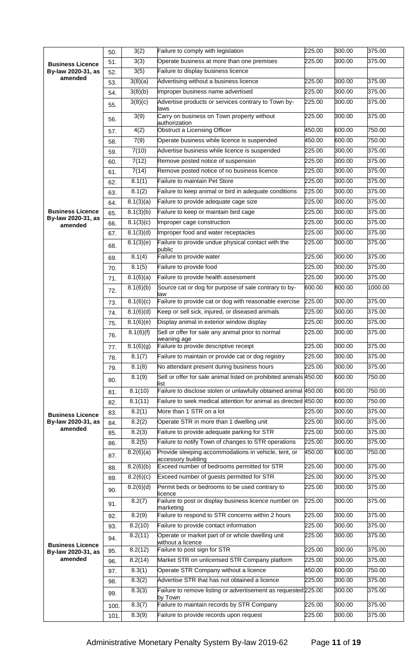|                                               | 50.  | 3(2)                   | Failure to comply with legislation                                         | 225.00 | 300.00 | 375.00  |
|-----------------------------------------------|------|------------------------|----------------------------------------------------------------------------|--------|--------|---------|
| <b>Business Licence</b>                       | 51.  | 3(3)                   | Operate business at more than one premises                                 | 225.00 | 300.00 | 375.00  |
| By-law 2020-31, as                            | 52.  | 3(5)                   | Failure to display business licence                                        |        |        |         |
| amended                                       | 53.  | 3(8)(a)                | Advertising without a business licence                                     | 225.00 | 300.00 | 375.00  |
|                                               | 54.  | 3(8)(b)                | Improper business name advertised                                          | 225.00 | 300.00 | 375.00  |
|                                               | 55.  | 3(8)(c)                | Advertise products or services contrary to Town by-<br>laws                | 225.00 | 300.00 | 375.00  |
|                                               | 56.  | 3(9)                   | Carry on business on Town property without<br>authorization                | 225.00 | 300.00 | 375.00  |
|                                               | 57.  | 4(2)                   | <b>Obstruct a Licensing Officer</b>                                        | 450.00 | 600.00 | 750.00  |
|                                               | 58.  | 7(9)                   | Operate business while licence is suspended                                | 450.00 | 600.00 | 750.00  |
|                                               | 59.  | 7(10)                  | Advertise business while licence is suspended                              | 225.00 | 300.00 | 375.00  |
|                                               | 60.  | 7(12)                  | Remove posted notice of suspension                                         | 225.00 | 300.00 | 375.00  |
|                                               | 61.  | 7(14)                  | Remove posted notice of no business licence                                | 225.00 | 300.00 | 375.00  |
|                                               | 62.  | 8.1(1)                 | <b>Failure to maintain Pet Store</b>                                       | 225.00 | 300.00 | 375.00  |
|                                               | 63.  | 8.1(2)                 | Failure to keep animal or bird in adequate conditions                      | 225.00 | 300.00 | 375.00  |
|                                               | 64.  | 8.1(3)(a)              | Failure to provide adequate cage size                                      | 225.00 | 300.00 | 375.00  |
| <b>Business Licence</b>                       | 65.  | 8.1(3)(b)              | Failure to keep or maintain bird cage                                      | 225.00 | 300.00 | 375.00  |
| By-law 2020-31, as                            | 66.  | 8.1(3)(c)              | Improper cage construction                                                 | 225.00 | 300.00 | 375.00  |
| amended                                       | 67.  | 8.1(3)(d)              | Improper food and water receptacles                                        | 225.00 | 300.00 | 375.00  |
|                                               | 68.  | 8.1(3)(e)              | Failure to provide undue physical contact with the                         | 225.00 | 300.00 | 375.00  |
|                                               | 69.  | 8.1(4)                 | public<br>Failure to provide water                                         | 225.00 | 300.00 | 375.00  |
|                                               | 70.  | 8.1(5)                 | Failure to provide food                                                    | 225.00 | 300.00 | 375.00  |
|                                               | 71.  | 8.1(6)(a)              | Failure to provide health assessment                                       | 225.00 | 300.00 | 375.00  |
|                                               | 72.  | 8.1(6)(b)              | Source cat or dog for purpose of sale contrary to by-<br>law               | 600.00 | 800.00 | 1000.00 |
|                                               | 73.  | 8.1(6)(c)              | Failure to provide cat or dog with reasonable exercise                     | 225.00 | 300.00 | 375.00  |
|                                               | 74.  | 8.1(6)(d)              | Keep or sell sick, injured, or diseased animals                            | 225.00 | 300.00 | 375.00  |
|                                               | 75.  | 8.1(6)(e)              | Display animal in exterior window display                                  | 225.00 | 300.00 | 375.00  |
|                                               | 76.  | 8.1(6)(f)              | Sell or offer for sale any animal prior to normal<br>weaning age           | 225.00 | 300.00 | 375.00  |
|                                               | 77.  | 8.1(6)(g)              | Failure to provide descriptive receipt                                     | 225.00 | 300.00 | 375.00  |
|                                               | 78.  | 8.1(7)                 | Failure to maintain or provide cat or dog registry                         | 225.00 | 300.00 | 375.00  |
|                                               | 79.  | 8.1(8)                 | No attendant present during business hours                                 | 225.00 | 300.00 | 375.00  |
|                                               | 80.  | 8.1(9)                 | Sell or offer for sale animal listed on prohibited animals 450.00<br>ist   |        | 600.00 | 750.00  |
|                                               | 81.  | 8.1(10)                | Failure to disclose stolen or unlawfully obtained animal 450.00            |        | 600.00 | 750.00  |
|                                               | 82.  | 8.1(11)                | Failure to seek medical attention for animal as directed 450.00            |        | 600.00 | 750.00  |
| <b>Business Licence</b>                       | 83.  | 8.2(1)                 | More than 1 STR on a lot                                                   | 225.00 | 300.00 | 375.00  |
| By-law 2020-31, as                            | 84.  | 8.2(2)                 | Operate STR in more than 1 dwelling unit                                   | 225.00 | 300.00 | 375.00  |
| amended                                       | 85.  | 8.2(3)                 | Failure to provide adequate parking for STR                                | 225.00 | 300.00 | 375.00  |
|                                               | 86.  | 8.2(5)                 | Failure to notify Town of changes to STR operations                        | 225.00 | 300.00 | 375.00  |
|                                               | 87.  | $\overline{8.2(6)}(a)$ | Provide sleeping accommodations in vehicle, tent, or<br>accessory building | 450.00 | 600.00 | 750.00  |
|                                               | 88.  | 8.2(6)(b)              | Exceed number of bedrooms permitted for STR                                | 225.00 | 300.00 | 375.00  |
|                                               | 89.  | 8.2(6)(c)              | Exceed number of guests permitted for STR                                  | 225.00 | 300.00 | 375.00  |
|                                               | 90.  | 8.2(6)(d)              | Permit beds or bedrooms to be used contrary to<br>licence                  | 225.00 | 300.00 | 375.00  |
|                                               | 91.  | 8.2(7)                 | Failure to post or display business licence number on<br>marketing         | 225.00 | 300.00 | 375.00  |
|                                               | 92.  | 8.2(9)                 | Failure to respond to STR concerns within 2 hours                          | 225.00 | 300.00 | 375.00  |
|                                               | 93.  | 8.2(10)                | Failure to provide contact information                                     | 225.00 | 300.00 | 375.00  |
|                                               | 94.  | 8.2(11)                | Operate or market part of or whole dwelling unit<br>without a licence      | 225.00 | 300.00 | 375.00  |
| <b>Business Licence</b><br>By-law 2020-31, as | 95.  | 8.2(12)                | Failure to post sign for STR                                               | 225.00 | 300.00 | 375.00  |
| amended                                       | 96.  | 8.2(14)                | Market STR on unlicensed STR Company platform                              | 225.00 | 300.00 | 375.00  |
|                                               | 97.  | 8.3(1)                 | Operate STR Company without a licence                                      | 450.00 | 600.00 | 750.00  |
|                                               | 98.  | 8.3(2)                 | Advertise STR that has not obtained a licence                              | 225.00 | 300.00 | 375.00  |
|                                               | 99.  | 8.3(3)                 | Failure to remove listing or advertisement as requested 225.00<br>by Town  |        | 300.00 | 375.00  |
|                                               | 100. | 8.3(7)                 | Failure to maintain records by STR Company                                 | 225.00 | 300.00 | 375.00  |
|                                               | 101. | 8.3(9)                 | Failure to provide records upon request                                    | 225.00 | 300.00 | 375.00  |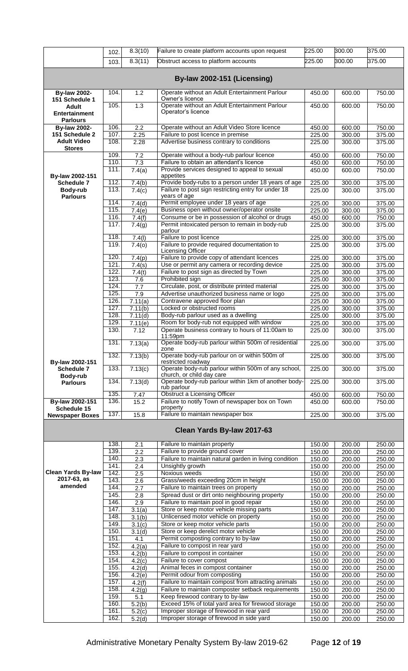|                                                         | 102.         | 8.3(10)                        | Failure to create platform accounts upon request                                                                           | 225.00           | 300.00           | 375.00           |
|---------------------------------------------------------|--------------|--------------------------------|----------------------------------------------------------------------------------------------------------------------------|------------------|------------------|------------------|
|                                                         | 103.         | 8.3(11)                        | Obstruct access to platform accounts                                                                                       | 225.00           | 300.00           | 375.00           |
|                                                         |              |                                | By-law 2002-151 (Licensing)                                                                                                |                  |                  |                  |
| <b>By-law 2002-</b><br>151 Schedule 1                   | 104.         | 1.2                            | Operate without an Adult Entertainment Parlour<br>Owner's licence                                                          | 450.00           | 600.00           | 750.00           |
| <b>Adult</b><br><b>Entertainment</b><br><b>Parlours</b> | 105.         | 1.3                            | Operate without an Adult Entertainment Parlour<br>Operator's licence                                                       | 450.00           | 600.00           | 750.00           |
| <b>By-law 2002-</b>                                     | 106.         | 2.2                            | Operate without an Adult Video Store licence                                                                               | 450.00           | 600.00           | 750.00           |
| 151 Schedule 2<br><b>Adult Video</b>                    | 107.<br>108. | 2.25                           | Failure to post licence in premise<br>Advertise business contrary to conditions                                            | 225.00           | 300.00           | 375.00           |
| <b>Stores</b>                                           |              | 2.28                           |                                                                                                                            | 225.00           | 300.00           | 375.00           |
|                                                         | 109.<br>110. | 7.2                            | Operate without a body-rub parlour licence<br>Failure to obtain an attendant's licence                                     | 450.00           | 600.00           | 750.00           |
|                                                         | 111.         | 7.3<br>7.4(a)                  | Provide services designed to appeal to sexual                                                                              | 450.00<br>450.00 | 600.00<br>600.00 | 750.00<br>750.00 |
| By-law 2002-151                                         |              |                                | appetites                                                                                                                  |                  |                  |                  |
| Schedule 7<br>Body-rub<br><b>Parlours</b>               | 112.<br>113. | 7.4(b)<br>7.4(c)               | Provide body-rubs to a person under 18 years of age<br>Failure to post sign restricting entry for under 18<br>years of age | 225.00<br>225.00 | 300.00<br>300.00 | 375.00<br>375.00 |
|                                                         | 114.         | 7.4(d)                         | Permit employee under 18 years of age                                                                                      | 225.00           | 300.00           | 375.00           |
|                                                         | 115.         | 7.4(e)                         | Business open without owner/operator onsite                                                                                | 225.00           | 300.00           | 375.00           |
|                                                         | 116.<br>117. | 7.4(f)                         | Consume or be in possession of alcohol or drugs<br>Permit intoxicated person to remain in body-rub                         | 450.00           | 600.00<br>300.00 | 750.00<br>375.00 |
|                                                         |              | 7.4(g)                         | parlour                                                                                                                    | 225.00           |                  |                  |
|                                                         | 118.         | 7.4(l)                         | Failure to post licence                                                                                                    | 225.00           | 300.00           | 375.00           |
|                                                         | 119.         | $\overline{7}.4(0)$            | Failure to provide required documentation to<br>Licensing Officer                                                          | 225.00           | 300.00           | 375.00           |
|                                                         | 120.         | 7.4(p)                         | Failure to provide copy of attendant licences                                                                              | 225.00           | 300.00           | 375.00           |
|                                                         | 121.<br>122. | 7.4(s)                         | Use or permit any camera or recording device<br>Failure to post sign as directed by Town                                   | 225.00<br>225.00 | 300.00<br>300.00 | 375.00<br>375.00 |
|                                                         | 123.         | 7.4(t)<br>7.6                  | Prohibited sign                                                                                                            | 225.00           | 300.00           | 375.00           |
|                                                         | 124.         | 7.7                            | Circulate, post, or distribute printed material                                                                            | 225.00           | 300.00           | 375.00           |
|                                                         | 125.         | 7.9                            | Advertise unauthorized business name or logo                                                                               | 225.00           | 300.00           | 375.00           |
|                                                         | 126<br>127.  | 7.11(a)                        | Contravene approved floor plan<br>Locked or obstructed rooms                                                               | 225.00<br>225.00 | 300.00           | 375.00<br>375.00 |
|                                                         | 128.         | 7.11(b)<br>7.11(d)             | Body-rub parlour used as a dwelling                                                                                        | 225.00           | 300.00<br>300.00 | 375.00           |
|                                                         | 129.         | 7.11(e)                        | Room for body-rub not equipped with window                                                                                 | 225.00           | 300.00           | 375.00           |
|                                                         | 130.         | 7.12                           | Operate business contrary to hours of 11:00am to                                                                           | 225.00           | 300.00           | 375.00           |
|                                                         | 131.         | 7.13(a)                        | 11:59pm<br>Operate body-rub parlour within 500m of residential<br>zone                                                     | 225.00           | 300.00           | 375.00           |
| By-law 2002-151                                         | 132.         | 7.13(b)                        | Operate body-rub parlour on or within 500m of<br>restricted roadway                                                        | 225.00           | 300.00           | 375.00           |
| Schedule 7<br>Body-rub                                  | 133.         | 7.13(c)                        | Operate body-rub parlour within 500m of any school,<br>church, or child day care                                           | 225.00           | 300.00           | 375.00           |
| <b>Parlours</b>                                         | 134.         | 7.13(d)                        | Operate body-rub parlour within 1km of another body-<br>rub parlour                                                        | 225.00           | 300.00           | 375.00           |
| By-law 2002-151                                         | 135.<br>136. | 7.47<br>15.2                   | <b>Obstruct a Licensing Officer</b><br>Failure to notify Town of newspaper box on Town                                     | 450.00<br>450.00 | 600.00<br>600.00 | 750.00<br>750.00 |
| Schedule 15                                             |              |                                | property                                                                                                                   |                  |                  |                  |
| <b>Newspaper Boxes</b>                                  | 137.         | 15.8                           | Failure to maintain newspaper box                                                                                          | 225.00           | 300.00           | 375.00           |
|                                                         |              |                                | Clean Yards By-law 2017-63                                                                                                 |                  |                  |                  |
|                                                         | 138.         | 2.1                            | Failure to maintain property                                                                                               | 150.00           | 200.00           | 250.00           |
|                                                         | 139.<br>140. | 2.2<br>2.3                     | Failure to provide ground cover<br>Failure to maintain natural garden in living condition                                  | 150.00<br>150.00 | 200.00<br>200.00 | 250.00<br>250.00 |
|                                                         | 141.         | 2.4                            | Unsightly growth                                                                                                           | 150.00           | 200.00           | 250.00           |
| <b>Clean Yards By-law</b><br>2017-63, as                | 142.         | 2.5                            | Noxious weeds                                                                                                              | 150.00           | 200.00           | 250.00           |
| amended                                                 | 143.<br>144. | 2.6<br>2.7                     | Grass/weeds exceeding 20cm in height<br>Failure to maintain trees on property                                              | 150.00<br>150.00 | 200.00<br>200.00 | 250.00<br>250.00 |
|                                                         | 145.         | 2.8                            | Spread dust or dirt onto neighbouring property                                                                             | 150.00           | 200.00           | 250.00           |
|                                                         | 146.         | 2.9                            | Failure to maintain pool in good repair                                                                                    | 150.00           | 200.00           | 250.00           |
|                                                         | 147.         | 3.1(a)                         | Store or keep motor vehicle missing parts                                                                                  | 150.00           | 200.00           | 250.00           |
|                                                         | 148.<br>149. | $\overline{3.1}$ (b)<br>3.1(c) | Unlicensed motor vehicle on property<br>Store or keep motor vehicle parts                                                  | 150.00<br>150.00 | 200.00<br>200.00 | 250.00<br>250.00 |
|                                                         | 150.         | $\overline{3}.1(d)$            | Store or keep derelict motor vehicle                                                                                       | 150.00           | 200.00           | 250.00           |
|                                                         | 151.         | 4.1                            | Permit composting contrary to by-law                                                                                       | 150.00           | 200.00           | 250.00           |
|                                                         | 152.<br>153. | 4.2(a)<br>4.2(b)               | Failure to compost in rear yard<br>Failure to compost in container                                                         | 150.00           | 200.00<br>200.00 | 250.00           |
|                                                         | 154.         | 4.2(c)                         | Failure to cover compost                                                                                                   | 150.00<br>150.00 | 200.00           | 250.00<br>250.00 |
|                                                         | 155.         | 4.2(d)                         | Animal feces in compost container                                                                                          | 150.00           | 200.00           | 250.00           |
|                                                         | 156.         | 4.2(e)                         | Permit odour from composting                                                                                               | 150.00           | 200.00           | 250.00           |
|                                                         | 157.<br>158. | 4.2(f)<br>4.2(g)               | Failure to maintain compost from attracting animals<br>Failure to maintain composter setback requirements                  | 150.00<br>150.00 | 200.00<br>200.00 | 250.00<br>250.00 |
|                                                         | 159.         | 5.1                            | Keep firewood contrary to by-law                                                                                           | 150.00           | 200.00           | 250.00           |
|                                                         | 160.         | 5.2(b)                         | Exceed 15% of total yard area for firewood storage                                                                         | 150.00           | 200.00           | 250.00           |
|                                                         | 161.         | 5.2(c)                         | Improper storage of firewood in rear yard                                                                                  | 150.00           | 200.00           | 250.00           |
|                                                         | 162.         | $\overline{5.2}$ (d)           | Improper storage of firewood in side yard                                                                                  | 150.00           | 200.00           | 250.00           |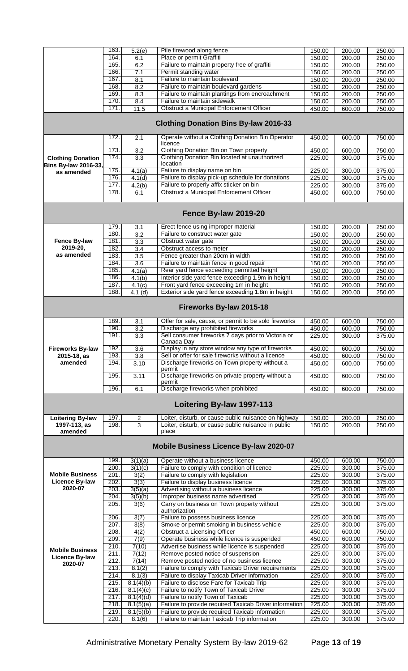|                             | 163.         | 5.2(e)              | Pile firewood along fence                                                                       | 150.00           | 200.00           | 250.00           |
|-----------------------------|--------------|---------------------|-------------------------------------------------------------------------------------------------|------------------|------------------|------------------|
|                             | 164.         | 6.1                 | Place or permit Graffiti                                                                        | 150.00           | 200.00           | 250.00           |
|                             | 165.         | 6.2                 | Failure to maintain property free of graffiti                                                   | 150.00           | 200.00           | 250.00           |
|                             | 166.         | 7.1                 | Permit standing water                                                                           | 150.00           | 200.00           | 250.00           |
|                             | 167          | 8.1                 | Failure to maintain boulevard                                                                   | 150.00           | 200.00           | 250.00           |
|                             | 168          | 8.2                 | Failure to maintain boulevard gardens                                                           | 150.00           | 200.00           | 250.00           |
|                             | 169          | 8.3                 | Failure to maintain plantings from encroachment                                                 | 150.00           | 200.00           | 250.00           |
|                             | 170.         | 8.4                 | Failure to maintain sidewalk                                                                    | 150.00           | 200.00           | 250.00           |
|                             | 171.         | 11.5                | Obstruct a Municipal Enforcement Officer                                                        | 450.00           | 600.00           | 750.00           |
|                             |              |                     | <b>Clothing Donation Bins By-law 2016-33</b>                                                    |                  |                  |                  |
|                             | 172.         | 2.1                 | Operate without a Clothing Donation Bin Operator<br>licence                                     | 450.00           | 600.00           | 750.00           |
|                             | 173.         | 3.2                 | Clothing Donation Bin on Town property                                                          | 450.00           | 600.00           | 750.00           |
| <b>Clothing Donation</b>    | 174.         | 3.3                 | Clothing Donation Bin located at unauthorized                                                   | 225.00           | 300.00           | 375.00           |
| <b>Bins By-law 2016-33,</b> |              |                     | location                                                                                        |                  |                  |                  |
| as amended                  | 175.<br>176. | 4.1(a)              | Failure to display name on bin                                                                  | 225.00           | 300.00           | 375.00           |
|                             | 177.         | 4.1(d)              | Failure to display pick-up schedule for donations<br>Failure to properly affix sticker on bin   | 225.00           | 300.00           | 375.00           |
|                             | 178.         | 4.2(b)<br>6.1       | Obstruct a Municipal Enforcement Officer                                                        | 225.00<br>450.00 | 300.00<br>600.00 | 375.00<br>750.00 |
|                             |              |                     |                                                                                                 |                  |                  |                  |
|                             |              |                     | Fence By-law 2019-20                                                                            |                  |                  |                  |
|                             | 179          | 3.1                 | Erect fence using improper material                                                             | 150.00           | 200.00           | 250.00           |
|                             | 180.         | 3.2                 | Failure to construct water gate                                                                 | 150.00           | 200.00           | 250.00           |
| Fence By-law                | 181          | 3.3                 | Obstruct water gate                                                                             | 150.00           | 200.00           | 250.00           |
| 2019-20,<br>as amended      | 182.         | $\overline{3.4}$    | Obstruct access to meter                                                                        | 150.00           | 200.00           | 250.00           |
|                             | 183.         | 3.5                 | Fence greater than 20cm in width                                                                | 150.00           | 200.00           | 250.00           |
|                             | 184.         | $\overline{3.6}$    | Failure to maintain fence in good repair                                                        | 150.00           | 200.00           | 250.00           |
|                             | 185.<br>186. | 4.1(a)              | Rear yard fence exceeding permitted height<br>Interior side yard fence exceeding 1.9m in height | 150.00           | 200.00           | 250.00           |
|                             | 187.         | 4.1(b)              | Front yard fence exceeding 1m in height                                                         | 150.00<br>150.00 | 200.00<br>200.00 | 250.00<br>250.00 |
|                             | 188.         | 4.1(c)<br>$4.1$ (d) | Exterior side yard fence exceeding 1.8m in height                                               | 150.00           | 200.00           | 250.00           |
|                             |              |                     |                                                                                                 |                  |                  |                  |
|                             |              |                     | Fireworks By-law 2015-18                                                                        |                  |                  |                  |
|                             | 189.         | 3.1                 | Offer for sale, cause, or permit to be sold fireworks                                           | 450.00           | 600.00           | 750.00           |
|                             | 190.         | $\overline{3.2}$    | Discharge any prohibited fireworks                                                              | 450.00           | 600.00           | 750.00           |
|                             | 191.         | $\overline{3.3}$    | Sell consumer fireworks 7 days prior to Victoria or<br>Canada Day                               | 225.00           | 300.00           | 375.00           |
| <b>Fireworks By-law</b>     | 192.         | $\overline{3.6}$    | Display in any store window any type of fireworks                                               | 450.00           | 600.00           | 750.00           |
| 2015-18, as                 | 193.         | $\overline{3.8}$    | Sell or offer for sale fireworks without a licence                                              | 450.00           | 600.00           | 750.00           |
| amended                     | 194.         | 3.10                | Discharge fireworks on Town property without a<br>permit                                        | 450.00           | 600.00           | 750.00           |
|                             | 195.         | 3.11                | Discharge fireworks on private property without a<br>permit                                     | 450.00           | 600.00           | 750.00           |
|                             | 196.         | 6.1                 | Discharge fireworks when prohibited                                                             | 450.00           | 600.00           | 750.00           |
|                             |              |                     | Loitering By-law 1997-113                                                                       |                  |                  |                  |
| <b>Loitering By-law</b>     | 197.         | $\overline{c}$      | Loiter, disturb, or cause public nuisance on highway                                            | 150.00           | 200.00           | 250.00           |
| 1997-113, as                | 198.         | 3                   | Loiter, disturb, or cause public nuisance in public                                             | 150.00           | 200.00           | 250.00           |
| amended                     |              |                     | place                                                                                           |                  |                  |                  |
|                             |              |                     | Mobile Business Licence By-law 2020-07                                                          |                  |                  |                  |
|                             | 199.         | 3(1)(a)             | Operate without a business licence                                                              | 450.00           | 600.00           | 750.00           |
|                             | 200.         | 3(1)(c)             | Failure to comply with condition of licence                                                     | 225.00           | 300.00           | 375.00           |
| <b>Mobile Business</b>      | 201          | 3(2)                | Failure to comply with legislation                                                              | 225.00           | 300.00           | 375.00           |
| Licence By-law              | 202          | 3(3)                | Failure to display business licence                                                             | 225.00           | 300.00           | 375.00           |
| 2020-07                     | 203.         | 3(5)(a)             | Advertising without a business licence                                                          | 225.00           | 300.00           | 375.00           |
|                             | 204.         | 3(5)(b)             | Improper business name advertised                                                               | 225.00           | 300.00           | 375.00           |
|                             | 205.         | 3(6)                | Carry on business on Town property without                                                      | 225.00           | 300.00           | 375.00           |
|                             |              |                     | authorization                                                                                   |                  |                  |                  |
|                             | 206.         | 3(7)                | Failure to possess business licence                                                             | 225.00           | 300.00           | 375.00           |
|                             | 207.<br>208. | 3(8)<br>4(2)        | Smoke or permit smoking in business vehicle<br><b>Obstruct a Licensing Officer</b>              | 225.00<br>450.00 | 300.00<br>600.00 | 375.00<br>750.00 |
|                             | 209.         | 7(9)                | Operate business while licence is suspended                                                     | 450.00           | 600.00           | 750.00           |
|                             | 210.         | 7(10)               | Advertise business while licence is suspended                                                   | 225.00           | 300.00           | 375.00           |
| <b>Mobile Business</b>      | 211.         | 7(12)               | Remove posted notice of suspension                                                              | 225.00           | 300.00           | 375.00           |
| <b>Licence By-law</b>       | 212.         | 7(14)               | Remove posted notice of no business licence                                                     | 225.00           | 300.00           | 375.00           |
| 2020-07                     | 213.         | 8.1(2)              | Failure to comply with Taxicab Driver requirements                                              | 225.00           | 300.00           | 375.00           |
|                             | 214.         | 8.1(3)              | Failure to display Taxicab Driver information                                                   | 225.00           | 300.00           | 375.00           |
|                             | 215.         | 8.1(4)(b)           | Failure to disclose Fare for Taxicab Trip                                                       | 225.00           | 300.00           | 375.00           |
|                             | 216.         | 8.1(4)(c)           | Failure to notify Town of Taxicab Driver                                                        | 225.00           | 300.00           | 375.00           |
|                             | 217.         | 8.1(4)(d)           | Failure to notify Town of Taxicab                                                               | 225.00           | 300.00           | 375.00           |
|                             | 218.         | 8.1(5)(a)           | Failure to provide required Taxicab Driver information                                          | 225.00           | 300.00           | 375.00           |
|                             | 219.         | 8.1(5)(b)           | Failure to provide required Taxicab information                                                 | 225.00           | 300.00           | 375.00           |
|                             | 220.         | 8.1(6)              | Failure to maintain Taxicab Trip information                                                    | 225.00           | 300.00           | 375.00           |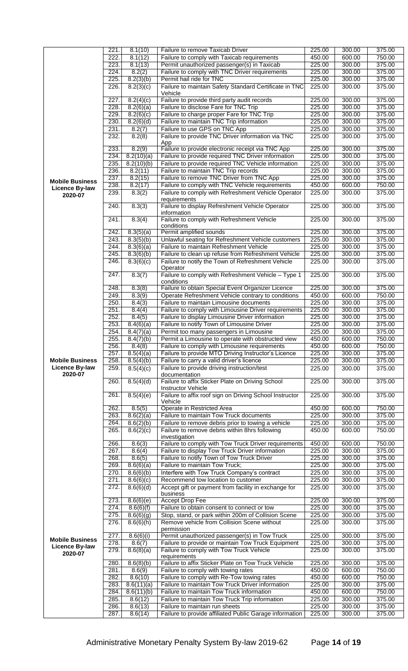|                        | 221. | 8.1(10)              | Failure to remove Taxicab Driver                                                               | 225.00           | 300.00 | 375.00 |
|------------------------|------|----------------------|------------------------------------------------------------------------------------------------|------------------|--------|--------|
|                        | 222. | 8.1(12)              | Failure to comply with Taxicab requirements                                                    | 450.00           | 600.00 | 750.00 |
|                        | 223. |                      |                                                                                                | 225.00           | 300.00 | 375.00 |
|                        |      | 8.1(13)              | Permit unauthorized passenger(s) in Taxicab                                                    |                  |        |        |
|                        | 224. | 8.2(2)               | Failure to comply with TNC Driver requirements                                                 | 225.00           | 300.00 | 375.00 |
|                        | 225. | 8.2(3)(b)            | Permit hail ride for TNC                                                                       | 225.00           | 300.00 | 375.00 |
|                        | 226. | 8.2(3)(c)            | Failure to maintain Safety Standard Certificate in TNC                                         | 225.00           | 300.00 | 375.00 |
|                        |      |                      | Vehicle                                                                                        | 225.00           | 300.00 | 375.00 |
|                        | 227. | 8.2(4)(c)            | Failure to provide third party audit records                                                   |                  |        |        |
|                        | 228. | 8.2(6)(a)            | Failure to disclose Fare for TNC Trip                                                          | 225.00           | 300.00 | 375.00 |
|                        | 229. | 8.2(6)(c)            | Failure to charge proper Fare for TNC Trip                                                     | 225.00           | 300.00 | 375.00 |
|                        | 230. | 8.2(6)(d)            | Failure to maintain TNC Trip information                                                       | 225.00           | 300.00 | 375.00 |
|                        | 231. | 8.2(7)               | Failure to use GPS on TNC App                                                                  | 225.00           | 300.00 | 375.00 |
|                        | 232. | 8.2(8)               | Failure to provide TNC Driver information via TNC                                              | 225.00           | 300.00 | 375.00 |
|                        |      |                      | App                                                                                            |                  |        |        |
|                        | 233. | 8.2(9)               | Failure to provide electronic receipt via TNC App                                              | 225.00           | 300.00 | 375.00 |
|                        | 234. | 8.2(10)(a)           | Failure to provide required TNC Driver information                                             | 225.00           | 300.00 | 375.00 |
|                        | 235. | 8.2(10)(b)           | Failure to provide required TNC Vehicle information                                            | 225.00           | 300.00 | 375.00 |
|                        | 236. | 8.2(11)              | Failure to maintain TNC Trip records                                                           | 225.00           | 300.00 | 375.00 |
|                        | 237. | 8.2(15)              | Failure to remove TNC Driver from TNC App                                                      | 225.00           | 300.00 | 375.00 |
| <b>Mobile Business</b> | 238. | 8.2(17)              | Failure to comply with TNC Vehicle requirements                                                | 450.00           | 600.00 | 750.00 |
| <b>Licence By-law</b>  |      |                      |                                                                                                |                  |        |        |
| 2020-07                | 239. | 8.3(2)               | Failure to comply with Refreshment Vehicle Operator<br>requirements                            | 225.00           | 300.00 | 375.00 |
|                        | 240. | 8.3(3)               | Failure to display Refreshment Vehicle Operator                                                | 225.00           | 300.00 | 375.00 |
|                        |      |                      | information                                                                                    |                  |        |        |
|                        | 241. | 8.3(4)               | Failure to comply with Refreshment Vehicle                                                     | 225.00           | 300.00 | 375.00 |
|                        | 242. | 8.3(5)(a)            | conditions<br>Permit amplified sounds                                                          | 225.00           | 300.00 | 375.00 |
|                        |      |                      |                                                                                                |                  |        | 375.00 |
|                        | 243. | 8.3(5)(b)            | Unlawful seating for Refreshment Vehicle customers                                             | 225.00           | 300.00 |        |
|                        | 244. | 8.3(6)(a)            | Failure to maintain Refreshment Vehicle                                                        | 225.00           | 300.00 | 375.00 |
|                        | 245. | 8.3(6)(b)            | Failure to clean up refuse from Refreshment Vehicle                                            | 225.00           | 300.00 | 375.00 |
|                        | 246. | 8.3(6)(c)            | Failure to notify the Town of Refreshment Vehicle                                              | 225.00           | 300.00 | 375.00 |
|                        | 247. |                      | Operator                                                                                       |                  |        |        |
|                        |      | 8.3(7)               | Failure to comply with Refreshment Vehicle - Type 1<br>conditions                              | 225.00           | 300.00 | 375.00 |
|                        | 248. | 8.3(8)               | Failure to obtain Special Event Organizer Licence                                              | 225.00           | 300.00 | 375.00 |
|                        | 249. | 8.3(9)               | Operate Refreshment Vehicle contrary to conditions                                             | 450.00           | 600.00 | 750.00 |
|                        | 250. | 8.4(3)               | Failure to maintain Limousine documents                                                        | 225.00           | 300.00 | 375.00 |
|                        | 251. | 8.4(4)               | Failure to comply with Limousine Driver requirements                                           | 225.00           | 300.00 | 375.00 |
|                        |      |                      |                                                                                                |                  |        |        |
|                        | 252. | 8.4(5)               | Failure to display Limousine Driver information                                                | 225.00           | 300.00 | 375.00 |
|                        | 253. | 8.4(6)(a)            | Failure to notify Town of Limousine Driver                                                     | 225.00           | 300.00 | 375.00 |
|                        | 254. | 8.4(7)(a)            | Permit too many passengers in Limousine                                                        | 225.00           | 300.00 | 375.00 |
|                        | 255. | 8.4(7)(b)            | Permit a Limousine to operate with obstructed view                                             | 450.00           | 600.00 | 750.00 |
|                        | 256. | 8.4(8)               | Failure to comply with Limousine requirements                                                  | 450.00           | 600.00 | 750.00 |
|                        | 257. | 8.5(4)(a)            | Failure to provide MTO Driving Instructor's Licence                                            | 225.00           | 300.00 | 375.00 |
| <b>Mobile Business</b> | 258. | 8.5(4)(b)            | Failure to carry a valid driver's licence                                                      | 225.00           | 300.00 | 375.00 |
| <b>Licence By-law</b>  | 259. | 8.5(4)(c)            | Failure to provide driving instruction/test                                                    | 225.00           | 300.00 | 375.00 |
| 2020-07                |      |                      | documentation                                                                                  |                  |        |        |
|                        | 260. | 8.5(4)(d)            | Failure to affix Sticker Plate on Driving School                                               | 225.00           | 300.00 | 375.00 |
|                        |      |                      | <b>Instructor Vehicle</b>                                                                      |                  |        |        |
|                        | 261. | 8.5(4)(e)            | Failure to affix roof sign on Driving School Instructor<br>Vehicle                             | 225.00           | 300.00 | 375.00 |
|                        | 262. | 8.5(5)               | Operate in Restricted Area                                                                     | 450.00           | 600.00 | 750.00 |
|                        | 263. | 8.6(2)(a)            | Failure to maintain Tow Truck documents                                                        | 225.00           | 300.00 | 375.00 |
|                        | 264. | 8.6(2)(b)            | Failure to remove debris prior to towing a vehicle                                             | 225.00           | 300.00 | 375.00 |
|                        | 265. | 8.6(2)(c)            | Failure to remove debris within 8hrs following                                                 | 450.00           | 600.00 | 750.00 |
|                        |      |                      | investigation                                                                                  |                  |        |        |
|                        | 266. | 8.6(3)               | Failure to comply with Tow Truck Driver requirements                                           | 450.00           | 600.00 | 750.00 |
|                        | 267. | 8.6(4)               | Failure to display Tow Truck Driver information                                                | 225.00           | 300.00 | 375.00 |
|                        | 268. | 8.6(5)               | Failure to notify Town of Tow Truck Driver                                                     | 225.00           | 300.00 | 375.00 |
|                        | 269. | 8.6(6)(a)            | Failure to maintain Tow Truck;                                                                 | 225.00           | 300.00 | 375.00 |
|                        | 270. | 8.6(6)(b)            | Interfere with Tow Truck Company's contract                                                    | 225.00           | 300.00 | 375.00 |
|                        | 271. | 8.6(6)(c)            | Recommend tow location to customer                                                             | 225.00           | 300.00 | 375.00 |
|                        | 272. | 8.6(6)(d)            | Accept gift or payment from facility in exchange for                                           | 225.00           | 300.00 | 375.00 |
|                        |      |                      | business                                                                                       |                  |        |        |
|                        | 273. | 8.6(6)(e)            | <b>Accept Drop Fee</b>                                                                         | 225.00           | 300.00 | 375.00 |
|                        | 274. | 8.6(6)(f)            | Failure to obtain consent to connect or tow                                                    | 225.00           | 300.00 | 375.00 |
|                        | 275. | 8.6(6)(g)            | Stop, stand, or park within 200m of Collision Scene                                            | 225.00           | 300.00 | 375.00 |
|                        | 276. | 8.6(6)(h)            | Remove vehicle from Collision Scene without                                                    | 225.00           | 300.00 | 375.00 |
|                        | 277. | 8.6(6)(i)            | permission                                                                                     | 225.00           | 300.00 | 375.00 |
| <b>Mobile Business</b> | 278. |                      | Permit unauthorized passenger(s) in Tow Truck                                                  |                  | 300.00 | 375.00 |
| <b>Licence By-law</b>  | 279. | 8.6(7)<br>8.6(8)(a)  | Failure to provide or maintain Tow Truck Equipment<br>Failure to comply with Tow Truck Vehicle | 225.00<br>225.00 | 300.00 | 375.00 |
| 2020-07                |      |                      | requirements                                                                                   |                  |        |        |
|                        | 280. | 8.6(8)(b)            | Failure to affix Sticker Plate on Tow Truck Vehicle                                            | 225.00           | 300.00 | 375.00 |
|                        | 281. | 8.6(9)               | Failure to comply with towing rates                                                            | 450.00           | 600.00 | 750.00 |
|                        | 282. | 8.6(10)              | Failure to comply with Re-Tow towing rates                                                     | 450.00           | 600.00 | 750.00 |
|                        | 283. | 8.6(11)(a)           | Failure to maintain Tow Truck Driver information                                               | 225.00           | 300.00 | 375.00 |
|                        | 284. | $\sqrt{8.6(11)}$ (b) | Failure to maintain Tow Truck information                                                      | 450.00           | 600.00 | 750.00 |
|                        | 285. | 8.6(12)              | Failure to maintain Tow Truck Trip information                                                 | 225.00           | 300.00 | 375.00 |
|                        | 286. | 8.6(13)              | Failure to maintain run sheets                                                                 | 225.00           | 300.00 | 375.00 |
|                        | 287. | 8.6(14)              | Failure to provide affiliated Public Garage information                                        | 225.00           | 300.00 | 375.00 |
|                        |      |                      |                                                                                                |                  |        |        |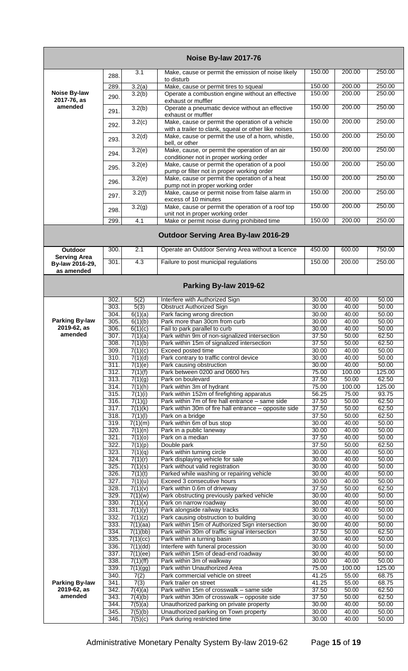|                                       |              |                                 | Noise By-law 2017-76                                                                                     |                |                |                |
|---------------------------------------|--------------|---------------------------------|----------------------------------------------------------------------------------------------------------|----------------|----------------|----------------|
|                                       | 288.         | 3.1                             | Make, cause or permit the emission of noise likely<br>to disturb                                         | 150.00         | 200.00         | 250.00         |
|                                       | 289.         | 3.2(a)                          | Make, cause or permit tires to squeal                                                                    | 150.00         | 200.00         | 250.00         |
| Noise By-law<br>2017-76, as           | 290.         | 3.2(b)                          | Operate a combustion engine without an effective<br>exhaust or muffler                                   | 150.00         | 200.00         | 250.00         |
| amended                               | 291.         | 3.2(b)                          | Operate a pneumatic device without an effective<br>exhaust or muffler                                    | 150.00         | 200.00         | 250.00         |
|                                       | 292.         | 3.2(c)                          | Make, cause or permit the operation of a vehicle<br>with a trailer to clank, squeal or other like noises | 150.00         | 200.00         | 250.00         |
|                                       | 293.         | 3.2(d)                          | Make, cause or permit the use of a horn, whistle,<br>bell, or other                                      | 150.00         | 200.00         | 250.00         |
|                                       | 294.         | 3.2(e)                          | Make, cause, or permit the operation of an air<br>conditioner not in proper working order                | 150.00         | 200.00         | 250.00         |
|                                       | 295.         | 3.2(e)                          | Make, cause or permit the operation of a pool<br>pump or filter not in proper working order              | 150.00         | 200.00         | 250.00         |
|                                       | 296.         | 3.2(e)                          | Make, cause or permit the operation of a heat<br>pump not in proper working order                        | 150.00         | 200.00         | 250.00         |
|                                       | 297.         | $\overline{3.2(f)}$             | Make, cause or permit noise from false alarm in<br>excess of 10 minutes                                  | 150.00         | 200.00         | 250.00         |
|                                       | 298.         | $\overline{3.2}$ (g)            | Make, cause or permit the operation of a roof top<br>unit not in proper working order                    | 150.00         | 200.00         | 250.00         |
|                                       | 299.         | 4.1                             | Make or permit noise during prohibited time                                                              | 150.00         | 200.00         | 250.00         |
|                                       |              |                                 | <b>Outdoor Serving Area By-law 2016-29</b>                                                               |                |                |                |
| <b>Outdoor</b><br><b>Serving Area</b> | 300.         | 2.1                             | Operate an Outdoor Serving Area without a licence                                                        | 450.00         | 600.00         | 750.00         |
| By-law 2016-29,<br>as amended         | 301.         | 4.3                             | Failure to post municipal regulations                                                                    | 150.00         | 200.00         | 250.00         |
|                                       |              |                                 | Parking By-law 2019-62                                                                                   |                |                |                |
|                                       | 302.<br>303. | 5(2)<br>5(3)                    | Interfere with Authorized Sign                                                                           | 30.00<br>30.00 | 40.00          | 50.00<br>50.00 |
|                                       | 304.         | 6(1)(a)                         | <b>Obstruct Authorized Sign</b><br>Park facing wrong direction                                           | 30.00          | 40.00<br>40.00 | 50.00          |
| <b>Parking By-law</b>                 | 305.         | 6(1)(b)                         | Park more than 30cm from curb                                                                            | 30.00          | 40.00          | 50.00          |
| 2019-62, as                           | 306.         | 6(1)(c)                         | Fail to park parallel to curb                                                                            | 30.00          | 40.00          | 50.00          |
| amended                               | 307.         | 7(1)(a)                         | Park within 9m of non-signalized intersection                                                            | 37.50          | 50.00          | 62.50          |
|                                       | 308.<br>309. | 7(1)(b)<br>$\overline{7(1)(c)}$ | Park within 15m of signalized intersection<br>Exceed posted time                                         | 37.50<br>30.00 | 50.00<br>40.00 | 62.50<br>50.00 |
|                                       | 310.         | 7(1)(d)                         | Park contrary to traffic control device                                                                  | 30.00          | 40.00          | 50.00          |
|                                       | 311.         | 7(1)(e)                         | Park causing obstruction                                                                                 | 30.00          | 40.00          | 50.00          |
|                                       | 312.         | 7(1)(f)                         | Park between 0200 and 0600 hrs                                                                           | 75.00          | 100.00         | 125.00         |
|                                       | 313.         | 7(1)(g)                         | Park on boulevard                                                                                        | 37.50          | 50.00          | 62.50          |
|                                       | 314.<br>315. | 7(1)(h)                         | Park within 3m of hydrant                                                                                | 75.00          | 100.00         | 125.00         |
|                                       | 316.         | 7(1)(i)<br>7(1)(j)              | Park within 152m of firefighting apparatus<br>Park within 7m of fire hall entrance – same side           | 56.25<br>37.50 | 75.00<br>50.00 | 93.75<br>62.50 |
|                                       | 317.         | 7(1)(k)                         | Park within 30m of fire hall entrance - opposite side                                                    | 37.50          | 50.00          | 62.50          |
|                                       | 318.         | 7(1)(1)                         | Park on a bridge                                                                                         | 37.50          | 50.00          | 62.50          |
|                                       | 319.         | 7(1)(m)                         | Park within 6m of bus stop                                                                               | 30.00          | 40.00          | 50.00          |
|                                       | 320.<br>321. | 7(1)(n)                         | Park in a public laneway                                                                                 | 30.00          | 40.00          | 50.00          |
|                                       | 322.         | 7(1)(0)<br>7(1)(p)              | Park on a median<br>Double park                                                                          | 37.50<br>37.50 | 40.00<br>50.00 | 50.00<br>62.50 |
|                                       | 323.         | 7(1)(q)                         | Park within turning circle                                                                               | 30.00          | 40.00          | 50.00          |
|                                       | 324.         | 7(1)(r)                         | Park displaying vehicle for sale                                                                         | 30.00          | 40.00          | 50.00          |
|                                       | 325.         | 7(1)(s)                         | Park without valid registration                                                                          | 30.00          | 40.00          | 50.00          |
|                                       | 326.<br>327. | 7(1)(t)<br>7(1)(u)              | Parked while washing or repairing vehicle<br>Exceed 3 consecutive hours                                  | 30.00<br>30.00 | 40.00<br>40.00 | 50.00<br>50.00 |
|                                       | 328.         | 7(1)(v)                         | Park within 0.6m of driveway                                                                             | 37.50          | 50.00          | 62.50          |
|                                       | 329.         | 7(1)(w)                         | Park obstructing previously parked vehicle                                                               | 30.00          | 40.00          | 50.00          |
|                                       | 330.         | 7(1)(x)                         | Park on narrow roadway                                                                                   | 30.00          | 40.00          | 50.00          |
|                                       | 331.<br>332. | 7(1)(y)<br>7(1)(z)              | Park alongside railway tracks<br>Park causing obstruction to building                                    | 30.00<br>30.00 | 40.00<br>40.00 | 50.00<br>50.00 |
|                                       | 333.         | 7(1)(aa)                        | Park within 15m of Authorized Sign intersection                                                          | 30.00          | 40.00          | 50.00          |
|                                       | 334.         | 7(1)(bb)                        | Park within 30m of traffic signal intersection                                                           | 37.50          | 50.00          | 62.50          |
|                                       | 335.         | 7(1)(cc)                        | Park within a turning basin                                                                              | 30.00          | 40.00          | 50.00          |
|                                       | 336.         | 7(1)(dd)                        | Interfere with funeral procession                                                                        | 30.00          | 40.00          | 50.00          |
|                                       | 337.<br>338. | 7(1)(ee)<br>7(1)(ff)            | Park within 15m of dead-end roadway<br>Park within 3m of walkway                                         | 30.00<br>30.00 | 40.00<br>40.00 | 50.00<br>50.00 |
|                                       | 339.         | 7(1)(gg)                        | Park within Unauthorized Area                                                                            | 75.00          | 100.00         | 125.00         |
|                                       | 340.         | 7(2)                            | Park commercial vehicle on street                                                                        | 41.25          | 55.00          | 68.75          |
| <b>Parking By-law</b>                 | 341.         | 7(3)                            | Park trailer on street                                                                                   | 41.25          | 55.00          | 68.75          |
| 2019-62, as                           | 342.         | 7(4)(a)                         | Park within 15m of crosswalk - same side                                                                 | 37.50          | 50.00          | 62.50          |
| amended                               | 343.<br>344. | 7(4)(b)<br>7(5)(a)              | Park within 30m of crosswalk - opposite side<br>Unauthorized parking on private property                 | 37.50<br>30.00 | 50.00<br>40.00 | 62.50<br>50.00 |
|                                       | 345.         | 7(5)(b)                         | Unauthorized parking on Town property                                                                    | 30.00          | 40.00          | 50.00          |
|                                       | 346.         | 7(5)(c)                         | Park during restricted time                                                                              | 30.00          | 40.00          | 50.00          |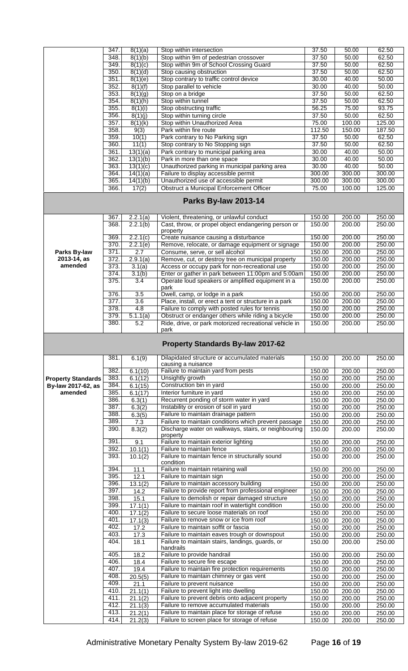|                           | 347.         | 8(1)(a)               | Stop within intersection                                                                                | 37.50  | 50.00            | 62.50            |
|---------------------------|--------------|-----------------------|---------------------------------------------------------------------------------------------------------|--------|------------------|------------------|
|                           | 348.         | 8(1)(b)               | Stop within 9m of pedestrian crossover                                                                  | 37.50  | 50.00            | 62.50            |
|                           | 349.         | 8(1)(c)               | Stop within 9m of School Crossing Guard                                                                 | 37.50  | 50.00            | 62.50            |
|                           | 350.         | 8(1)(d)               | Stop causing obstruction                                                                                | 37.50  | 50.00            | 62.50            |
|                           | 351.         | 8(1)(e)               | Stop contrary to traffic control device                                                                 | 30.00  | 40.00            | 50.00            |
|                           | 352.         | 8(1)(f)               | Stop parallel to vehicle                                                                                | 30.00  | 40.00            | 50.00            |
|                           | 353.         | 8(1)(g)               | Stop on a bridge                                                                                        | 37.50  | 50.00            | 62.50            |
|                           | 354.         | 8(1)(h)               | Stop within tunnel                                                                                      | 37.50  | 50.00            | 62.50            |
|                           | 355.         | 8(1)(i)               | Stop obstructing traffic                                                                                | 56.25  | 75.00            | 93.75            |
|                           | 356.         | 8(1)(j)               | Stop within turning circle                                                                              | 37.50  | 50.00            | 62.50            |
|                           | 357.         | 8(1)(k)               | Stop within Unauthorized Area                                                                           | 75.00  | 100.00           | 125.00           |
|                           | 358.         | 9(3)                  | Park within fire route                                                                                  | 112.50 | 150.00           | 187.50           |
|                           | 359.         | 10(1)                 | Park contrary to No Parking sign                                                                        | 37.50  | 50.00            | 62.50            |
|                           | 360.         | 11(1)                 | Stop contrary to No Stopping sign                                                                       | 37.50  | 50.00            | 62.50            |
|                           | 361.         | 13(1)(a)              | Park contrary to municipal parking area                                                                 | 30.00  | 40.00            | 50.00            |
|                           | 362.         | 13(1)(b)              | Park in more than one space                                                                             | 30.00  | 40.00            | 50.00            |
|                           | 363.         | 13(1)(c)              | Unauthorized parking in municipal parking area                                                          | 30.00  | 40.00            | 50.00            |
|                           | 364.         | 14(1)(a)              | Failure to display accessible permit                                                                    | 300.00 | 300.00           | 300.00           |
|                           | 365.         | 14(1)(b)              | Unauthorized use of accessible permit                                                                   | 300.00 | 300.00           | 300.00           |
|                           | 366.         | 17(2)                 | <b>Obstruct a Municipal Enforcement Officer</b>                                                         | 75.00  | 100.00           | 125.00           |
|                           |              |                       | <b>Parks By-law 2013-14</b>                                                                             |        |                  |                  |
|                           | 367.         | 2.2.1(a)              | Violent, threatening, or unlawful conduct                                                               | 150.00 | 200.00           | 250.00           |
|                           | 368.         | 2.2.1(b)              | Cast, throw, or propel object endangering person or                                                     | 150.00 | 200.00           | 250.00           |
|                           | 369.         | 2.2.1(c)              | property<br>Create nuisance causing a disturbance                                                       | 150.00 | 200.00           | 250.00           |
|                           | 370.         | 2.2.1(e)              | Remove, relocate, or damage equipment or signage                                                        | 150.00 | 200.00           | 250.00           |
| Parks By-law              | 371.         | 2.7                   | Consume, serve, or sell alcohol                                                                         | 150.00 | 200.00           | 250.00           |
| 2013-14, as               | 372.         | 2.9.1(a)              |                                                                                                         | 150.00 |                  | 250.00           |
| amended                   |              |                       | Remove, cut, or destroy tree on municipal property                                                      |        | 200.00           |                  |
|                           | 373.         | 3.1(a)                | Access or occupy park for non-recreational use                                                          | 150.00 | 200.00           | 250.00           |
|                           | 374.         | 3.1(b)                | Enter or gather in park between 11:00pm and 5:00am                                                      | 150.00 | 200.00           | 250.00           |
|                           | 375.         | 3.4                   | Operate loud speakers or amplified equipment in a<br>park                                               | 150.00 | 200.00           | 250.00           |
|                           | 376.         | 3.5                   | Dwell, camp, or lodge in a park                                                                         | 150.00 | 200.00           | 250.00           |
|                           | 377.         | 3.6                   | Place, install, or erect a tent or structure in a park                                                  | 150.00 | 200.00           | 250.00           |
|                           | 378.         | 4.8                   | Failure to comply with posted rules for tennis                                                          | 150.00 | 200.00           | 250.00           |
|                           | 379.         | $\overline{5.1.1(a)}$ | Obstruct or endanger others while riding a bicycle                                                      | 150.00 | 200.00           | 250.00           |
|                           | 380.         | 5.2                   | Ride, drive, or park motorized recreational vehicle in                                                  | 150.00 | 200.00           | 250.00           |
|                           |              |                       | park                                                                                                    |        |                  |                  |
|                           |              |                       |                                                                                                         |        |                  |                  |
|                           |              |                       | <b>Property Standards By-law 2017-62</b>                                                                |        |                  |                  |
|                           | 381.         | 6.1(9)                | Dilapidated structure or accumulated materials<br>causing a nuisance                                    | 150.00 | 200.00           | 250.00           |
|                           | 382.         | 6.1(10)               | Failure to maintain yard from pests                                                                     | 150.00 | 200.00           | 250.00           |
| <b>Property Standards</b> | 383.         | 6.1(12)               | Unsightly growth                                                                                        | 150.00 | 200.00           | 250.00           |
| By-law 2017-62, as        | 384.         | 6.1(15)               | Construction bin in yard                                                                                | 150.00 | 200.00           | 250.00           |
| amended                   | 385.         | 6.1(17)               | Interior furniture in yard                                                                              | 150.00 | 200.00           | 250.00           |
|                           | 386.         | 6.3(1)                | Recurrent ponding of storm water in yard                                                                | 150.00 | 200.00           | 250.00           |
|                           | 387.         | 6.3(2)                | Instability or erosion of soil in yard                                                                  | 150.00 | 200.00           | 250.00           |
|                           | 388.         |                       | Failure to maintain drainage pattern                                                                    | 150.00 |                  |                  |
|                           | 389.         | 6.3(5)<br>7.3         | Failure to maintain conditions which prevent passage                                                    | 150.00 | 200.00<br>200.00 | 250.00           |
|                           | 390.         | 8.3(2)                | Discharge water on walkways, stairs, or neighbouring<br>property                                        | 150.00 | 200.00           | 250.00<br>250.00 |
|                           | 391.         | 9.1                   | Failure to maintain exterior lighting                                                                   | 150.00 | 200.00           | 250.00           |
|                           | 392.         | 10.1(1)               | Failure to maintain fence                                                                               | 150.00 | 200.00           | 250.00           |
|                           | 393.         | 10.1(2)               | Failure to maintain fence in structurally sound                                                         | 150.00 | 200.00           | 250.00           |
|                           | 394.         |                       | condition                                                                                               |        |                  |                  |
|                           | 395.         | 11.1                  | Failure to maintain retaining wall<br>Failure to maintain sign                                          | 150.00 | 200.00           | 250.00           |
|                           | 396.         | 12.1                  | Failure to maintain accessory building                                                                  | 150.00 | 200.00           | 250.00           |
|                           | 397.         | 13.1(2)               |                                                                                                         | 150.00 | 200.00           | 250.00           |
|                           | 398.         | 14.2                  | Failure to provide report from professional engineer<br>Failure to demolish or repair damaged structure | 150.00 | 200.00           | 250.00           |
|                           | 399.         | 15.1                  | Failure to maintain roof in watertight condition                                                        | 150.00 | 200.00           | 250.00           |
|                           | 400.         | 17.1(1)               | Failure to secure loose materials on roof                                                               | 150.00 | 200.00           | 250.00           |
|                           |              | 17.1(2)               |                                                                                                         | 150.00 | 200.00           | 250.00           |
|                           | 401.<br>402. | 17.1(3)               | Failure to remove snow or ice from roof                                                                 | 150.00 | 200.00           | 250.00           |
|                           | 403.         | 17.2                  | Failure to maintain soffit or fascia                                                                    | 150.00 | 200.00           | 250.00           |
|                           | 404.         | 17.3<br>18.1          | Failure to maintain eaves trough or downspout<br>Failure to maintain stairs, landings, guards, or       | 150.00 | 200.00           | 250.00           |
|                           |              |                       | handrails                                                                                               | 150.00 | 200.00           | 250.00           |
|                           | 405.         | 18.2                  | Failure to provide handrail                                                                             | 150.00 | 200.00           | 250.00           |
|                           | 406.         | 18.4                  | Failure to secure fire escape                                                                           | 150.00 | 200.00           | 250.00           |
|                           | 407.         | 19.4                  | Failure to maintain fire protection requirements                                                        | 150.00 | 200.00           | 250.00           |
|                           | 408.         | 20.5(5)               | Failure to maintain chimney or gas vent                                                                 | 150.00 | 200.00           | 250.00           |
|                           | 409.         | 21.1                  | Failure to prevent nuisance                                                                             | 150.00 | 200.00           | 250.00           |
|                           | 410.         | 21.1(1)               | Failure to prevent light into dwelling                                                                  | 150.00 | 200.00           | 250.00           |
|                           | 411.         | 21.1(2)               | Failure to prevent debris onto adjacent property                                                        | 150.00 | 200.00           | 250.00           |
|                           | 412.         | 21.1(3)               | Failure to remove accumulated materials                                                                 | 150.00 | 200.00           | 250.00           |
|                           | 413.<br>414. | 21.2(1)<br>21.2(3)    | Failure to maintain place for storage of refuse<br>Failure to screen place for storage of refuse        | 150.00 | 200.00           | 250.00           |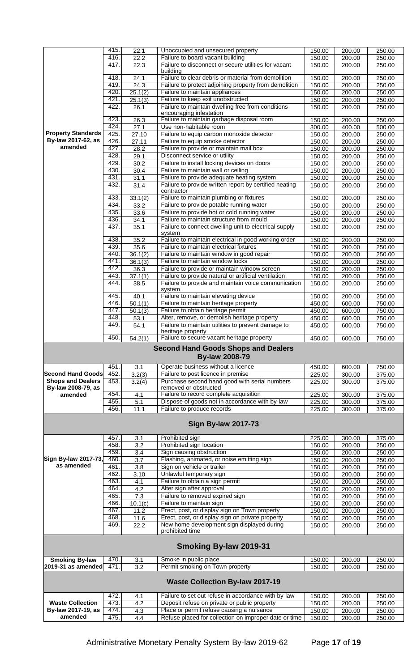|                           | 415. | 22.1              | Unoccupied and unsecured property                                         | 150.00 | 200.00 | 250.00 |
|---------------------------|------|-------------------|---------------------------------------------------------------------------|--------|--------|--------|
|                           | 416. | 22.2              | Failure to board vacant building                                          | 150.00 | 200.00 | 250.00 |
|                           | 417. | 22.3              | Failure to disconnect or secure utilities for vacant                      | 150.00 | 200.00 | 250.00 |
|                           |      |                   | building                                                                  |        |        |        |
|                           | 418. | $\overline{2}4.1$ | Failure to clear debris or material from demolition                       | 150.00 | 200.00 | 250.00 |
|                           | 419. |                   | Failure to protect adjoining property from demolition                     |        |        |        |
|                           |      | 24.3              |                                                                           | 150.00 | 200.00 | 250.00 |
|                           | 420. | 25.1(2)           | Failure to maintain appliances                                            | 150.00 | 200.00 | 250.00 |
|                           | 421. | 25.1(3)           | Failure to keep exit unobstructed                                         | 150.00 | 200.00 | 250.00 |
|                           | 422. | 26.1              | Failure to maintain dwelling free from conditions                         | 150.00 | 200.00 | 250.00 |
|                           |      |                   | encouraging infestation                                                   |        |        |        |
|                           | 423. | 26.3              | Failure to maintain garbage disposal room                                 | 150.00 | 200.00 | 250.00 |
|                           | 424. | 27.1              | Use non-habitable room                                                    | 300.00 | 400.00 | 500.00 |
| <b>Property Standards</b> |      |                   |                                                                           |        |        |        |
|                           | 425. | 27.10             | Failure to equip carbon monoxide detector                                 | 150.00 | 200.00 | 250.00 |
| By-law 2017-62, as        | 426. | 27.11             | Failure to equip smoke detector                                           | 150.00 | 200.00 | 250.00 |
| amended                   | 427. | 28.2              | Failure to provide or maintain mail box                                   | 150.00 | 200.00 | 250.00 |
|                           | 428. | 29.1              | Disconnect service or utility                                             | 150.00 | 200.00 | 250.00 |
|                           | 429  | $\overline{30.2}$ | Failure to install locking devices on doors                               |        |        | 250.00 |
|                           |      |                   |                                                                           | 150.00 | 200.00 |        |
|                           | 430. | $\overline{30.4}$ | Failure to maintain wall or ceiling                                       | 150.00 | 200.00 | 250.00 |
|                           | 431. | 31.1              | Failure to provide adequate heating system                                | 150.00 | 200.00 | 250.00 |
|                           | 432. | 31.4              | Failure to provide written report by certified heating                    | 150.00 | 200.00 | 250.00 |
|                           |      |                   | contractor                                                                |        |        |        |
|                           | 433. | 33.1(2)           | Failure to maintain plumbing or fixtures                                  | 150.00 | 200.00 | 250.00 |
|                           | 434. | 33.2              | Failure to provide potable running water                                  | 150.00 | 200.00 | 250.00 |
|                           |      |                   |                                                                           |        |        |        |
|                           | 435. | 33.6              | Failure to provide hot or cold running water                              | 150.00 | 200.00 | 250.00 |
|                           | 436. | 34.1              | Failure to maintain structure from mould                                  | 150.00 | 200.00 | 250.00 |
|                           | 437. | 35.1              | Failure to connect dwelling unit to electrical supply                     | 150.00 | 200.00 | 250.00 |
|                           |      |                   | system                                                                    |        |        |        |
|                           | 438. | 35.2              | Failure to maintain electrical in good working order                      | 150.00 | 200.00 | 250.00 |
|                           | 439. | 35.6              | Failure to maintain electrical fixtures                                   | 150.00 | 200.00 | 250.00 |
|                           |      |                   |                                                                           |        |        |        |
|                           | 440  | 36.1(2)           | Failure to maintain window in good repair                                 | 150.00 | 200.00 | 250.00 |
|                           | 441. | 36.1(3)           | Failure to maintain window locks                                          | 150.00 | 200.00 | 250.00 |
|                           | 442. | 36.3              | Failure to provide or maintain window screen                              | 150.00 | 200.00 | 250.00 |
|                           | 443. | 37.1(1)           | Failure to provide natural or artificial ventilation                      | 150.00 | 200.00 | 250.00 |
|                           | 444. | 38.5              | Failure to provide and maintain voice communication                       | 150.00 | 200.00 | 250.00 |
|                           |      |                   | system                                                                    |        |        |        |
|                           |      |                   |                                                                           |        |        |        |
|                           | 445. | 40.1              | Failure to maintain elevating device                                      | 150.00 | 200.00 | 250.00 |
|                           | 446. | 50.1(1)           | Failure to maintain heritage property                                     | 450.00 | 600.00 | 750.00 |
|                           | 447. | 50.1(3)           | Failure to obtain heritage permit                                         | 450.00 | 600.00 | 750.00 |
|                           | 448. | 53.1              | Alter, remove, or demolish heritage property                              | 450.00 | 600.00 | 750.00 |
|                           | 449. | 54.1              | Failure to maintain utilities to prevent damage to                        | 450.00 | 600.00 | 750.00 |
|                           |      |                   | heritage property                                                         |        |        |        |
|                           |      |                   |                                                                           |        |        |        |
|                           | 450. | 54.2(1)           | Failure to secure vacant heritage property                                | 450.00 | 600.00 | 750.00 |
|                           |      |                   | <b>Second Hand Goods Shops and Dealers</b><br><b>By-law 2008-79</b>       |        |        |        |
|                           | 451. | 3.1               | Operate business without a licence                                        | 450.00 | 600.00 | 750.00 |
| <b>Second Hand Goods</b>  | 452. |                   | Failure to post licence in premise                                        | 225.00 | 300.00 | 375.00 |
| <b>Shops and Dealers</b>  |      | 3.2(3)            |                                                                           |        |        |        |
|                           | 453. | 3.2(4)            | Purchase second hand good with serial numbers                             | 225.00 | 300.00 | 375.00 |
| By-law 2008-79, as        |      |                   | removed or obstructed                                                     |        |        |        |
| amended                   | 454. | 4.1               | Failure to record complete acquisition                                    | 225.00 | 300.00 | 375.00 |
|                           | 455. | 5.1               | Dispose of goods not in accordance with by-law                            | 225.00 | 300.00 | 375.00 |
|                           | 456. | 11.1              | Failure to produce records<br><b>Sign By-law 2017-73</b>                  | 225.00 | 300.00 | 375.00 |
|                           | 457. | 3.1               | Prohibited sign                                                           | 225.00 | 300.00 | 375.00 |
|                           | 458. | 3.2               | Prohibited sign location                                                  | 150.00 | 200.00 | 250.00 |
|                           | 459. | $\overline{3.4}$  | Sign causing obstruction                                                  | 150.00 | 200.00 | 250.00 |
| Sign By-law 2017-73,      |      |                   |                                                                           |        |        |        |
|                           | 460. | $\overline{3.7}$  | Flashing, animated, or noise emitting sign                                | 150.00 | 200.00 | 250.00 |
| as amended                | 461  | 3.8               | Sign on vehicle or trailer                                                | 150.00 | 200.00 | 250.00 |
|                           | 462. | 3.10              | Unlawful temporary sign                                                   | 150.00 | 200.00 | 250.00 |
|                           | 463. | 4.1               | Failure to obtain a sign permit                                           | 150.00 | 200.00 | 250.00 |
|                           | 464. | 4.2               | Alter sign after approval                                                 | 150.00 | 200.00 | 250.00 |
|                           |      |                   |                                                                           |        |        |        |
|                           | 465. | 7.3               | Failure to removed expired sign                                           | 150.00 | 200.00 | 250.00 |
|                           | 466. | 10.1(c)           | Failure to maintain sign                                                  | 150.00 | 200.00 | 250.00 |
|                           | 467. | $11.\overline{2}$ | Erect, post, or display sign on Town property                             | 150.00 | 200.00 | 250.00 |
|                           | 468. | 11.6              | Erect, post, or display sign on private property                          | 150.00 | 200.00 | 250.00 |
|                           | 469. | 22.2              | New home development sign displayed during                                | 150.00 | 200.00 | 250.00 |
|                           |      |                   | prohibited time                                                           |        |        |        |
|                           |      |                   | Smoking By-law 2019-31                                                    |        |        |        |
| <b>Smoking By-law</b>     | 470. | 3.1               | Smoke in public place                                                     | 150.00 | 200.00 | 250.00 |
| 2019-31 as amended        | 471. | $\overline{3.2}$  | Permit smoking on Town property<br><b>Waste Collection By-law 2017-19</b> | 150.00 | 200.00 | 250.00 |
|                           |      |                   |                                                                           |        |        |        |
|                           | 472. | 4.1               | Failure to set out refuse in accordance with by-law                       | 150.00 | 200.00 | 250.00 |
| <b>Waste Collection</b>   | 473. | 4.2               | Deposit refuse on private or public property                              | 150.00 | 200.00 | 250.00 |
| By-law 2017-19, as        | 474. | 4.3               | Place or permit refuse causing a nuisance                                 | 150.00 | 200.00 | 250.00 |
| amended                   | 475. | 4.4               | Refuse placed for collection on improper date or time                     | 150.00 | 200.00 | 250.00 |